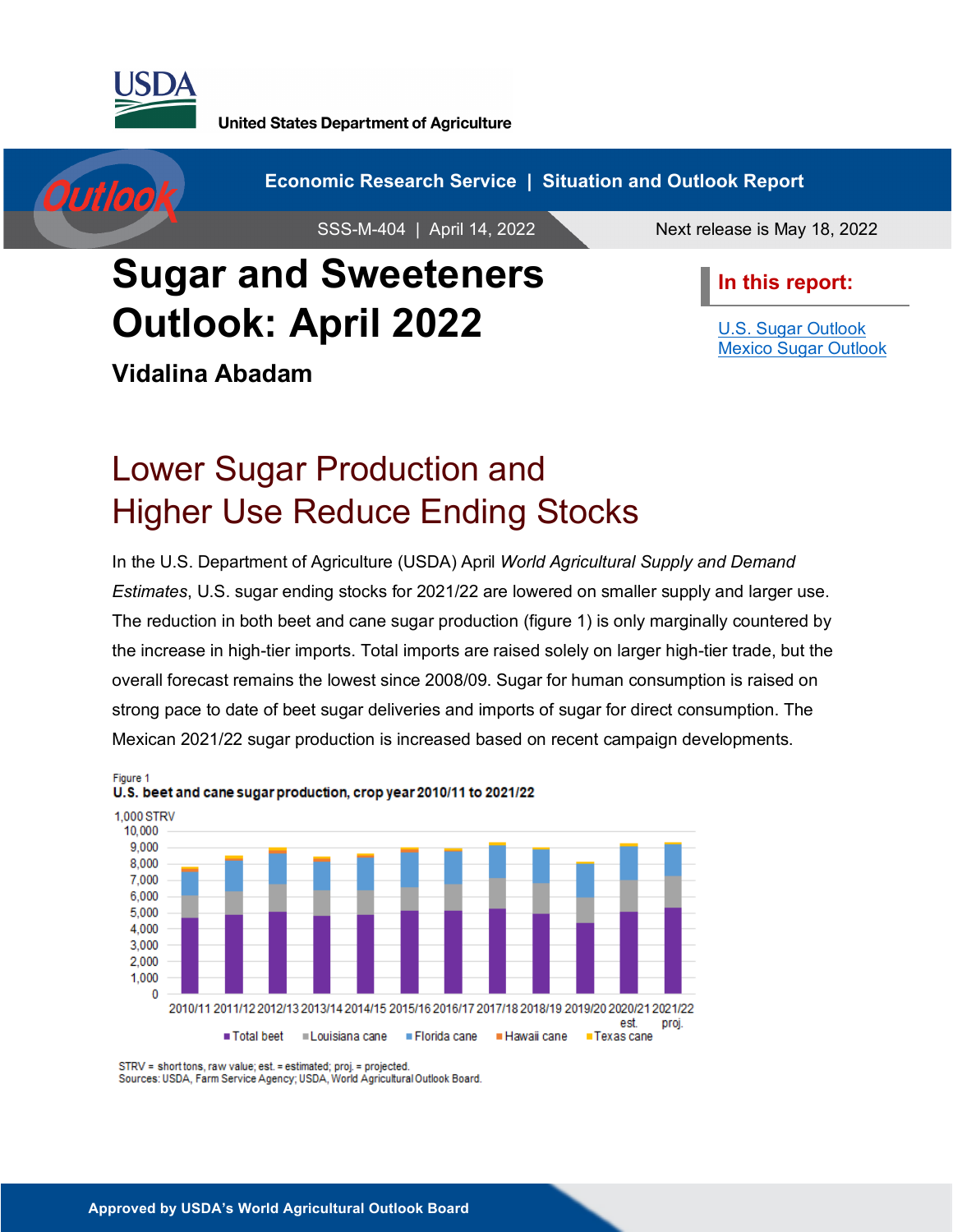

**United States Department of Agriculture** 

Outloo

**Economic Research Service | Situation and Outlook Report** 

SSS-M-404 | April 14, 2022 Next release is May 18, 2022

# **Sugar and Sweeteners Outlook: April 2022**

**Vidalina Abadam**

**In this report:**

[U.S. Sugar Outlook](#page-1-0) [Mexico Sugar Outlook](#page-17-0)

# Lower Sugar Production and Higher Use Reduce Ending Stocks

In the U.S. Department of Agriculture (USDA) April *World Agricultural Supply and Demand Estimates*, U.S. sugar ending stocks for 2021/22 are lowered on smaller supply and larger use. The reduction in both beet and cane sugar production (figure 1) is only marginally countered by the increase in high-tier imports. Total imports are raised solely on larger high-tier trade, but the overall forecast remains the lowest since 2008/09. Sugar for human consumption is raised on strong pace to date of beet sugar deliveries and imports of sugar for direct consumption. The Mexican 2021/22 sugar production is increased based on recent campaign developments.



STRV = short tons, raw value; est. = estimated; proj. = projected.

Sources: USDA, Farm Service Agency; USDA, World Agricultural Outlook Board.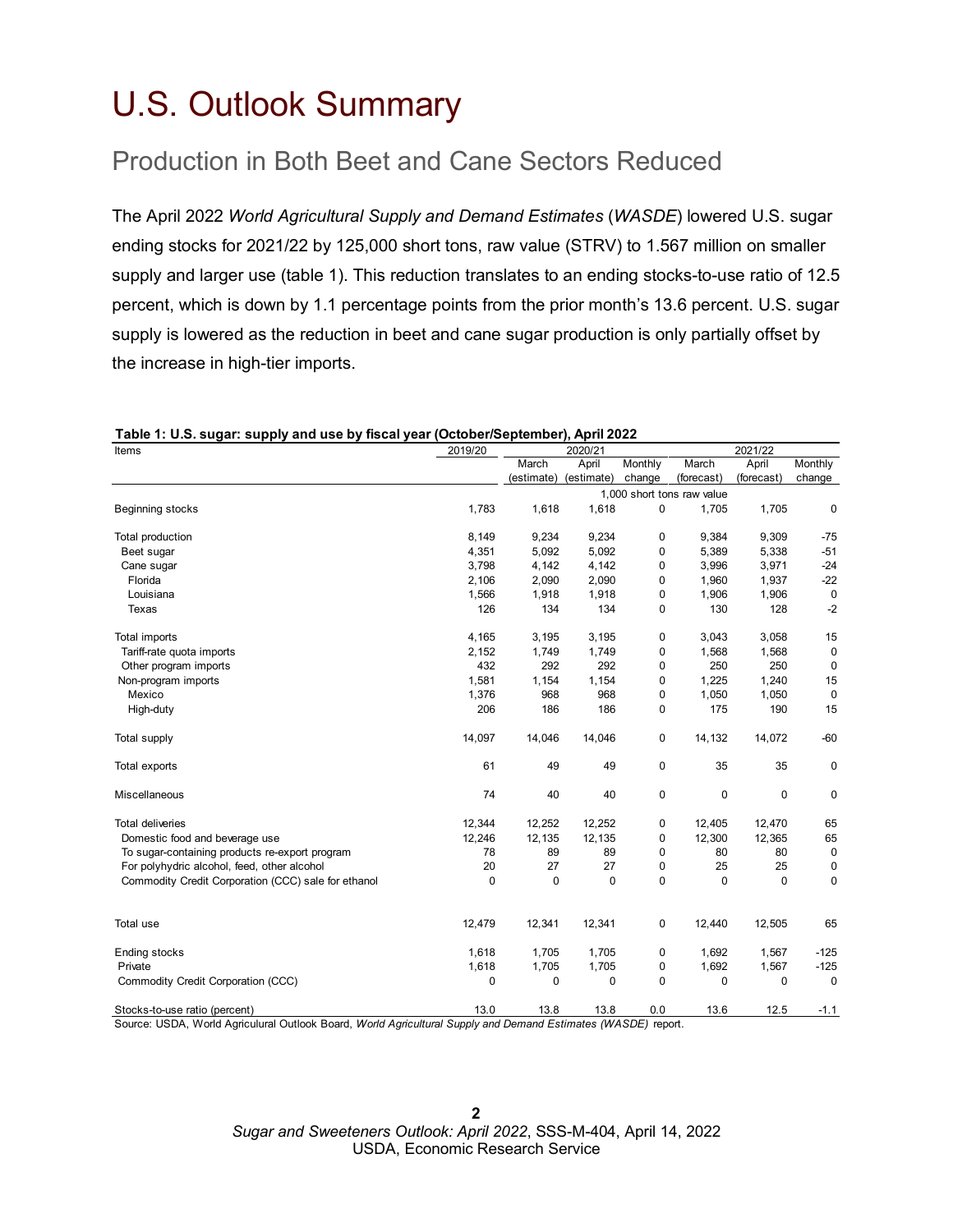# <span id="page-1-0"></span>U.S. Outlook Summary

## Production in Both Beet and Cane Sectors Reduced

The April 2022 *World Agricultural Supply and Demand Estimates* (*WASDE*) lowered U.S. sugar ending stocks for 2021/22 by 125,000 short tons, raw value (STRV) to 1.567 million on smaller supply and larger use (table 1). This reduction translates to an ending stocks-to-use ratio of 12.5 percent, which is down by 1.1 percentage points from the prior month's 13.6 percent. U.S. sugar supply is lowered as the reduction in beet and cane sugar production is only partially offset by the increase in high-tier imports.

| Items                                                                                                       | 2019/20     |                    | 2020/21           |                |                            | 2021/22     |             |
|-------------------------------------------------------------------------------------------------------------|-------------|--------------------|-------------------|----------------|----------------------------|-------------|-------------|
|                                                                                                             |             | March              | April             | Monthly        | March                      | April       | Monthly     |
|                                                                                                             |             | (estimate)         | (estimate)        | change         | (forecast)                 | (forecast)  | change      |
|                                                                                                             |             |                    |                   |                | 1,000 short tons raw value |             |             |
| Beginning stocks                                                                                            | 1,783       | 1,618              | 1,618             | 0              | 1,705                      | 1,705       | 0           |
| Total production                                                                                            | 8,149       | 9,234              | 9,234             | 0              | 9,384                      | 9,309       | $-75$       |
| Beet sugar                                                                                                  | 4,351       | 5,092              | 5,092             | 0              | 5,389                      | 5,338       | $-51$       |
| Cane sugar                                                                                                  | 3,798       | 4,142              | 4,142             | 0              | 3,996                      | 3,971       | $-24$       |
| Florida                                                                                                     | 2,106       | 2,090              | 2,090             | 0              | 1,960                      | 1,937       | $-22$       |
| Louisiana                                                                                                   | 1,566       | 1,918              | 1,918             | 0              | 1,906                      | 1,906       | $\mathbf 0$ |
| Texas                                                                                                       | 126         | 134                | 134               | 0              | 130                        | 128         | $-2$        |
| Total imports                                                                                               | 4,165       | 3,195              | 3,195             | 0              | 3,043                      | 3,058       | 15          |
| Tariff-rate quota imports                                                                                   | 2,152       | 1,749              | 1,749             | 0              | 1,568                      | 1,568       | $\mathbf 0$ |
| Other program imports                                                                                       | 432         | 292                | 292               | 0              | 250                        | 250         | 0           |
| Non-program imports                                                                                         | 1,581       | 1,154              | 1,154             | 0              | 1,225                      | 1,240       | 15          |
| Mexico                                                                                                      | 1,376       | 968                | 968               | 0              | 1,050                      | 1,050       | $\mathbf 0$ |
| High-duty                                                                                                   | 206         | 186                | 186               | 0              | 175                        | 190         | 15          |
| Total supply                                                                                                | 14,097      | 14,046             | 14,046            | 0              | 14,132                     | 14,072      | $-60$       |
| Total exports                                                                                               | 61          | 49                 | 49                | 0              | 35                         | 35          | 0           |
| Miscellaneous                                                                                               | 74          | 40                 | 40                | 0              | $\mathbf 0$                | $\mathbf 0$ | $\mathbf 0$ |
| <b>Total deliveries</b>                                                                                     | 12,344      | 12,252             | 12,252            | 0              | 12,405                     | 12,470      | 65          |
| Domestic food and beverage use                                                                              | 12,246      | 12,135             | 12,135            | 0              | 12,300                     | 12,365      | 65          |
| To sugar-containing products re-export program                                                              | 78          | 89                 | 89                | 0              | 80                         | 80          | $\mathbf 0$ |
| For polyhydric alcohol, feed, other alcohol                                                                 | 20          | 27                 | 27                | 0              | 25                         | 25          | 0           |
| Commodity Credit Corporation (CCC) sale for ethanol                                                         | $\Omega$    | $\mathbf 0$        | $\mathbf 0$       | $\mathbf 0$    | $\Omega$                   | $\Omega$    | $\mathbf 0$ |
| Total use                                                                                                   | 12,479      | 12,341             | 12,341            | 0              | 12,440                     | 12,505      | 65          |
| Ending stocks                                                                                               | 1,618       | 1,705              | 1,705             | 0              | 1,692                      | 1,567       | $-125$      |
| Private                                                                                                     | 1,618       | 1,705              | 1,705             | 0              | 1,692                      | 1,567       | $-125$      |
| Commodity Credit Corporation (CCC)                                                                          | $\mathbf 0$ | $\mathbf 0$        | $\mathbf 0$       | 0              | 0                          | 0           | $\mathbf 0$ |
| Stocks-to-use ratio (percent)<br>Course: LICDA, Warld Agricultural Outlook Doord, Warld Agricultural Cupply | 13.0        | 13.8<br>$A$ Domain | 13.8<br>$Fdiff h$ | 0.0<br>(11/10) | 13.6                       | 12.5        | $-1.1$      |

### **Table 1: U.S. sugar: supply and use by fiscal year (October/September), April 2022**

Source: USDA, World Agriculural Outlook Board, *World Agricultural Supply and Demand Estimates (WASDE)* report.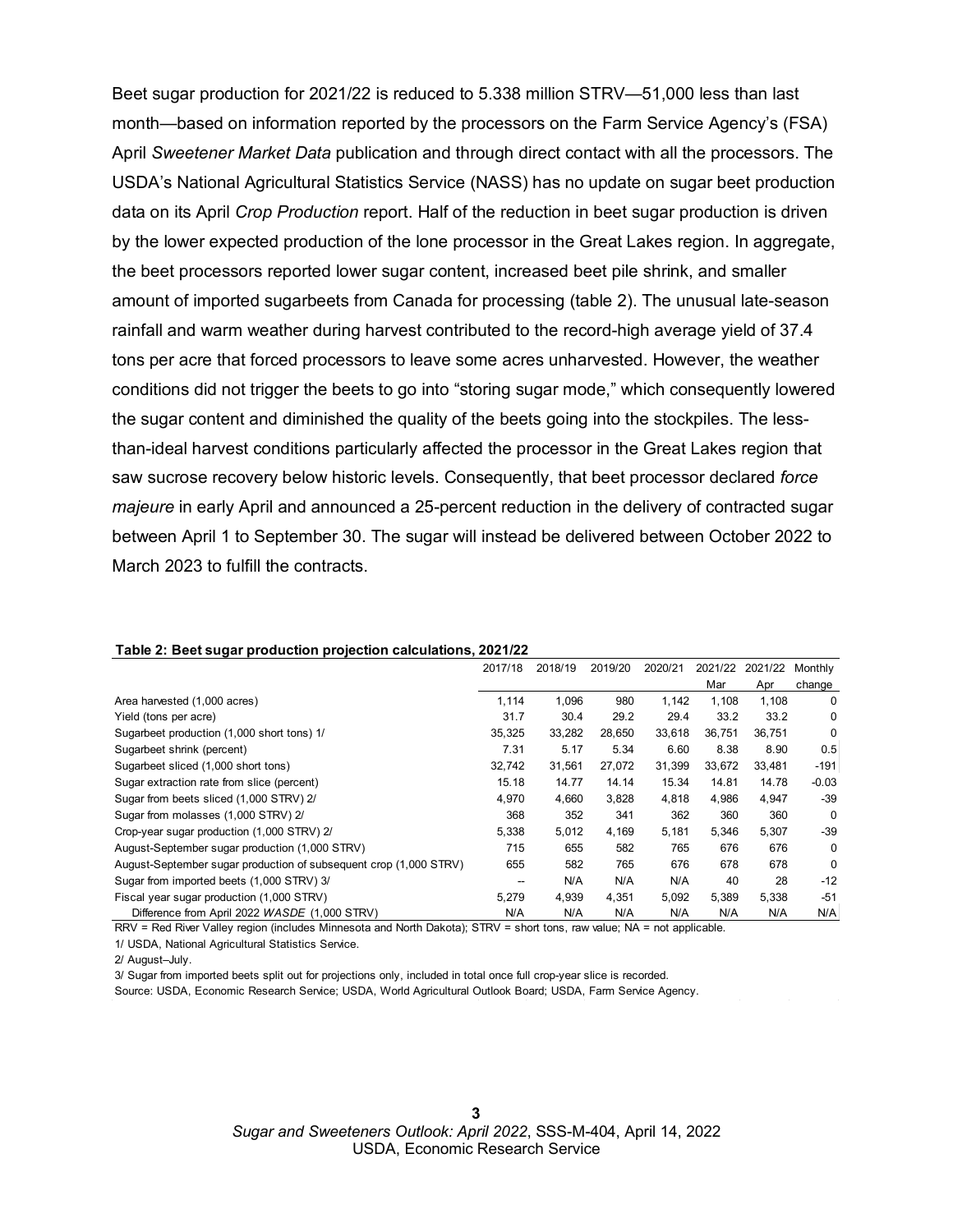Beet sugar production for 2021/22 is reduced to 5.338 million STRV—51,000 less than last month—based on information reported by the processors on the Farm Service Agency's (FSA) April *Sweetener Market Data* publication and through direct contact with all the processors. The USDA's National Agricultural Statistics Service (NASS) has no update on sugar beet production data on its April *Crop Production* report. Half of the reduction in beet sugar production is driven by the lower expected production of the lone processor in the Great Lakes region. In aggregate, the beet processors reported lower sugar content, increased beet pile shrink, and smaller amount of imported sugarbeets from Canada for processing (table 2). The unusual late-season rainfall and warm weather during harvest contributed to the record-high average yield of 37.4 tons per acre that forced processors to leave some acres unharvested. However, the weather conditions did not trigger the beets to go into "storing sugar mode," which consequently lowered the sugar content and diminished the quality of the beets going into the stockpiles. The lessthan-ideal harvest conditions particularly affected the processor in the Great Lakes region that saw sucrose recovery below historic levels. Consequently, that beet processor declared *force majeure* in early April and announced a 25-percent reduction in the delivery of contracted sugar between April 1 to September 30. The sugar will instead be delivered between October 2022 to March 2023 to fulfill the contracts.

| $\cdot$<br>. .<br>.                                               | 2017/18 | 2018/19 | 2019/20 | 2020/21 | 2021/22 | 2021/22 | Monthly  |
|-------------------------------------------------------------------|---------|---------|---------|---------|---------|---------|----------|
|                                                                   |         |         |         |         | Mar     | Apr     | change   |
| Area harvested (1,000 acres)                                      | 1,114   | 1,096   | 980     | 1,142   | 1,108   | 1,108   | 0        |
| Yield (tons per acre)                                             | 31.7    | 30.4    | 29.2    | 29.4    | 33.2    | 33.2    | 0        |
| Sugarbeet production (1,000 short tons) 1/                        | 35,325  | 33,282  | 28.650  | 33.618  | 36.751  | 36.751  | 0        |
| Sugarbeet shrink (percent)                                        | 7.31    | 5.17    | 5.34    | 6.60    | 8.38    | 8.90    | 0.5      |
| Sugarbeet sliced (1,000 short tons)                               | 32,742  | 31,561  | 27,072  | 31,399  | 33,672  | 33,481  | -191     |
| Sugar extraction rate from slice (percent)                        | 15.18   | 14.77   | 14.14   | 15.34   | 14.81   | 14.78   | $-0.03$  |
| Sugar from beets sliced (1,000 STRV) 2/                           | 4,970   | 4,660   | 3,828   | 4,818   | 4,986   | 4,947   | -39      |
| Sugar from molasses (1,000 STRV) 2/                               | 368     | 352     | 341     | 362     | 360     | 360     | $\Omega$ |
| Crop-year sugar production (1,000 STRV) 2/                        | 5,338   | 5,012   | 4,169   | 5,181   | 5,346   | 5,307   | $-39$    |
| August-September sugar production (1,000 STRV)                    | 715     | 655     | 582     | 765     | 676     | 676     | 0        |
| August-September sugar production of subsequent crop (1,000 STRV) | 655     | 582     | 765     | 676     | 678     | 678     | 0        |
| Sugar from imported beets (1,000 STRV) 3/                         |         | N/A     | N/A     | N/A     | 40      | 28      | $-12$    |
| Fiscal year sugar production (1,000 STRV)                         | 5,279   | 4,939   | 4,351   | 5,092   | 5,389   | 5,338   | $-51$    |
| Difference from April 2022 WASDE (1,000 STRV)                     | N/A     | N/A     | N/A     | N/A     | N/A     | N/A     | N/A      |

### **Table 2: Beet sugar production projection calculations, 2021/22**

RRV = Red River Valley region (includes Minnesota and North Dakota); STRV = short tons, raw value; NA = not applicable. 1/ USDA, National Agricultural Statistics Service.

2/ August–July.

3/ Sugar from imported beets split out for projections only, included in total once full crop-year slice is recorded.

Source: USDA, Economic Research Service; USDA, World Agricultural Outlook Board; USDA, Farm Service Agency.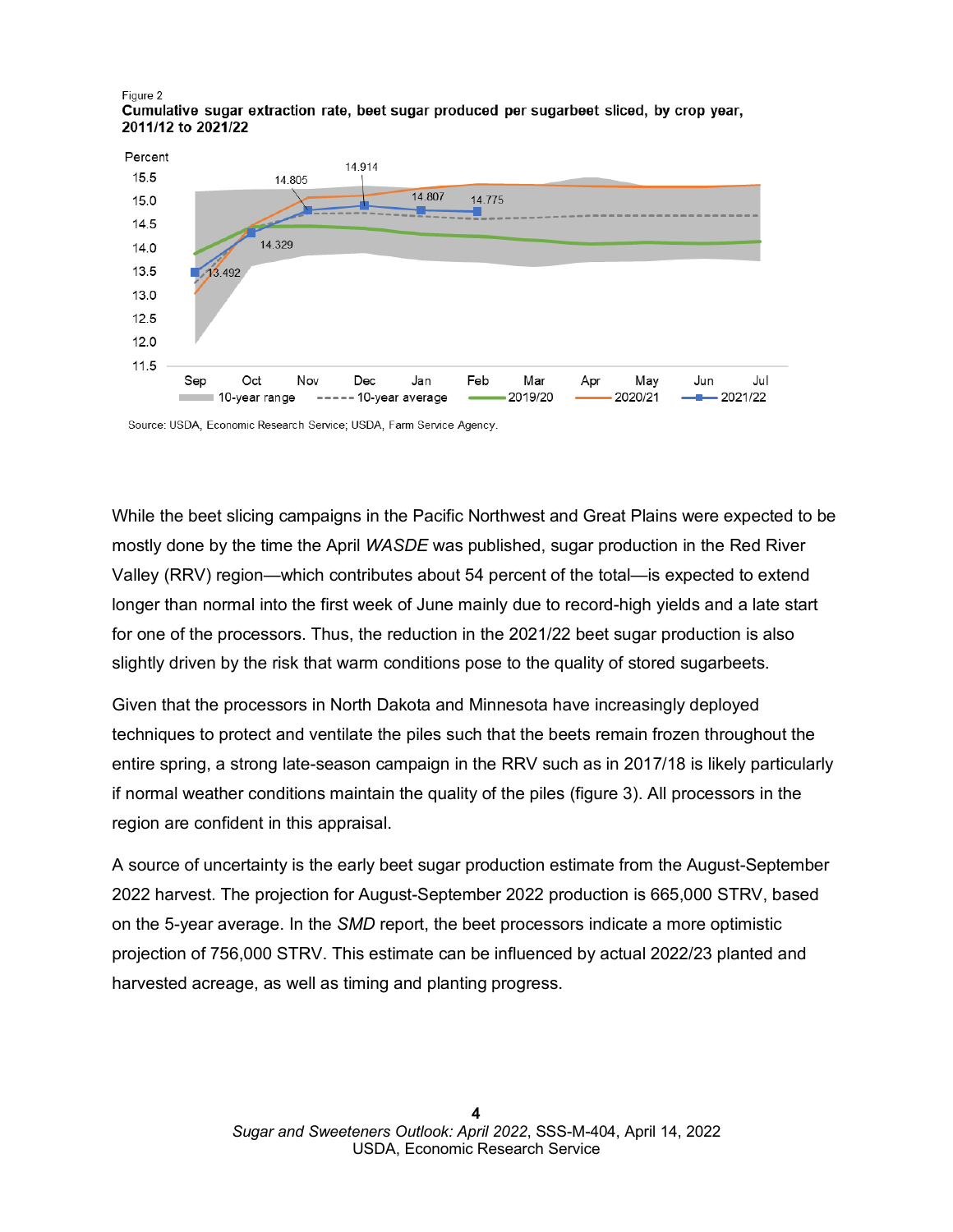#### Figure 2 Cumulative sugar extraction rate, beet sugar produced per sugarbeet sliced, by crop year, 2011/12 to 2021/22



Source: USDA, Economic Research Service; USDA, Farm Service Agency.

While the beet slicing campaigns in the Pacific Northwest and Great Plains were expected to be mostly done by the time the April *WASDE* was published, sugar production in the Red River Valley (RRV) region—which contributes about 54 percent of the total—is expected to extend longer than normal into the first week of June mainly due to record-high yields and a late start for one of the processors. Thus, the reduction in the 2021/22 beet sugar production is also slightly driven by the risk that warm conditions pose to the quality of stored sugarbeets.

Given that the processors in North Dakota and Minnesota have increasingly deployed techniques to protect and ventilate the piles such that the beets remain frozen throughout the entire spring, a strong late-season campaign in the RRV such as in 2017/18 is likely particularly if normal weather conditions maintain the quality of the piles (figure 3). All processors in the region are confident in this appraisal.

A source of uncertainty is the early beet sugar production estimate from the August-September 2022 harvest. The projection for August-September 2022 production is 665,000 STRV, based on the 5-year average. In the *SMD* report, the beet processors indicate a more optimistic projection of 756,000 STRV. This estimate can be influenced by actual 2022/23 planted and harvested acreage, as well as timing and planting progress.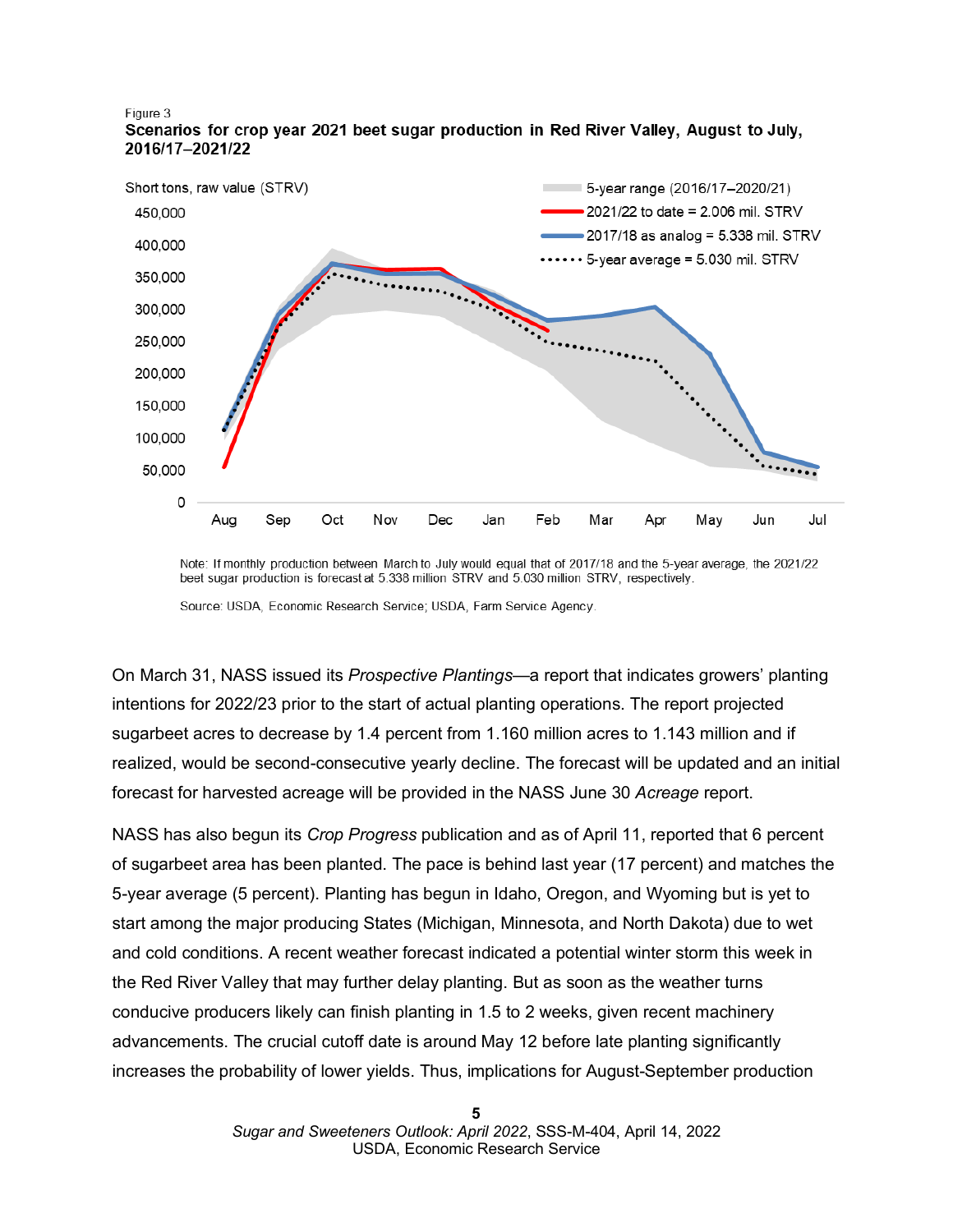

Figure 3 Scenarios for crop year 2021 beet sugar production in Red River Valley, August to July, 2016/17-2021/22

Source: USDA, Economic Research Service; USDA, Farm Service Agency.

On March 31, NASS issued its *Prospective Plantings*—a report that indicates growers' planting intentions for 2022/23 prior to the start of actual planting operations. The report projected sugarbeet acres to decrease by 1.4 percent from 1.160 million acres to 1.143 million and if realized, would be second-consecutive yearly decline. The forecast will be updated and an initial forecast for harvested acreage will be provided in the NASS June 30 *Acreage* report.

NASS has also begun its *Crop Progress* publication and as of April 11, reported that 6 percent of sugarbeet area has been planted. The pace is behind last year (17 percent) and matches the 5-year average (5 percent). Planting has begun in Idaho, Oregon, and Wyoming but is yet to start among the major producing States (Michigan, Minnesota, and North Dakota) due to wet and cold conditions. A recent weather forecast indicated a potential winter storm this week in the Red River Valley that may further delay planting. But as soon as the weather turns conducive producers likely can finish planting in 1.5 to 2 weeks, given recent machinery advancements. The crucial cutoff date is around May 12 before late planting significantly increases the probability of lower yields. Thus, implications for August-September production

Note: If monthly production between March to July would equal that of 2017/18 and the 5-year average, the 2021/22 beet sugar production is forecast at 5.338 million STRV and 5.030 million STRV, respectively.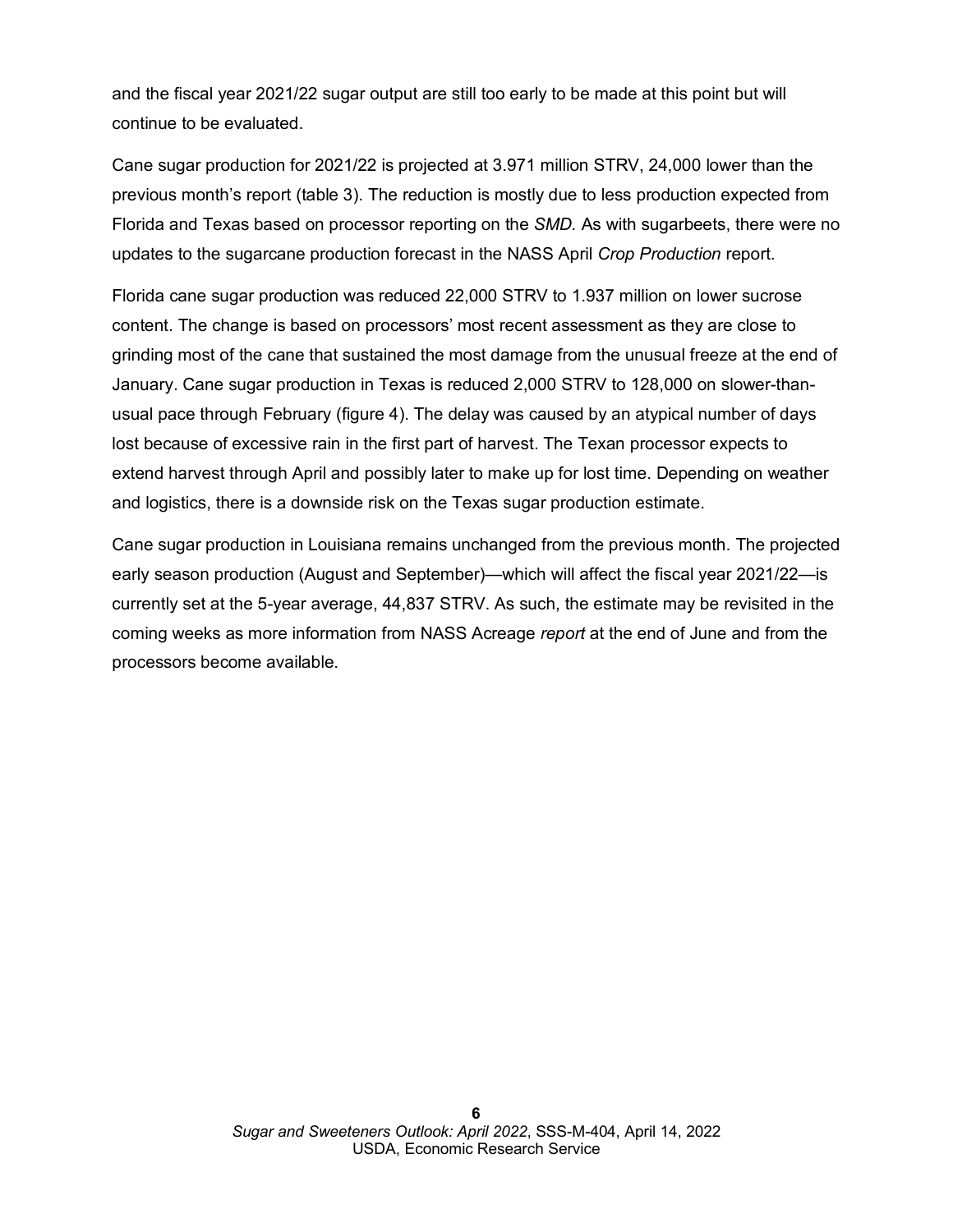and the fiscal year 2021/22 sugar output are still too early to be made at this point but will continue to be evaluated.

Cane sugar production for 2021/22 is projected at 3.971 million STRV, 24,000 lower than the previous month's report (table 3). The reduction is mostly due to less production expected from Florida and Texas based on processor reporting on the *SMD.* As with sugarbeets, there were no updates to the sugarcane production forecast in the NASS April *Crop Production* report.

Florida cane sugar production was reduced 22,000 STRV to 1.937 million on lower sucrose content. The change is based on processors' most recent assessment as they are close to grinding most of the cane that sustained the most damage from the unusual freeze at the end of January. Cane sugar production in Texas is reduced 2,000 STRV to 128,000 on slower-thanusual pace through February (figure 4). The delay was caused by an atypical number of days lost because of excessive rain in the first part of harvest. The Texan processor expects to extend harvest through April and possibly later to make up for lost time. Depending on weather and logistics, there is a downside risk on the Texas sugar production estimate.

Cane sugar production in Louisiana remains unchanged from the previous month. The projected early season production (August and September)—which will affect the fiscal year 2021/22—is currently set at the 5-year average, 44,837 STRV. As such, the estimate may be revisited in the coming weeks as more information from NASS Acreage *report* at the end of June and from the processors become available.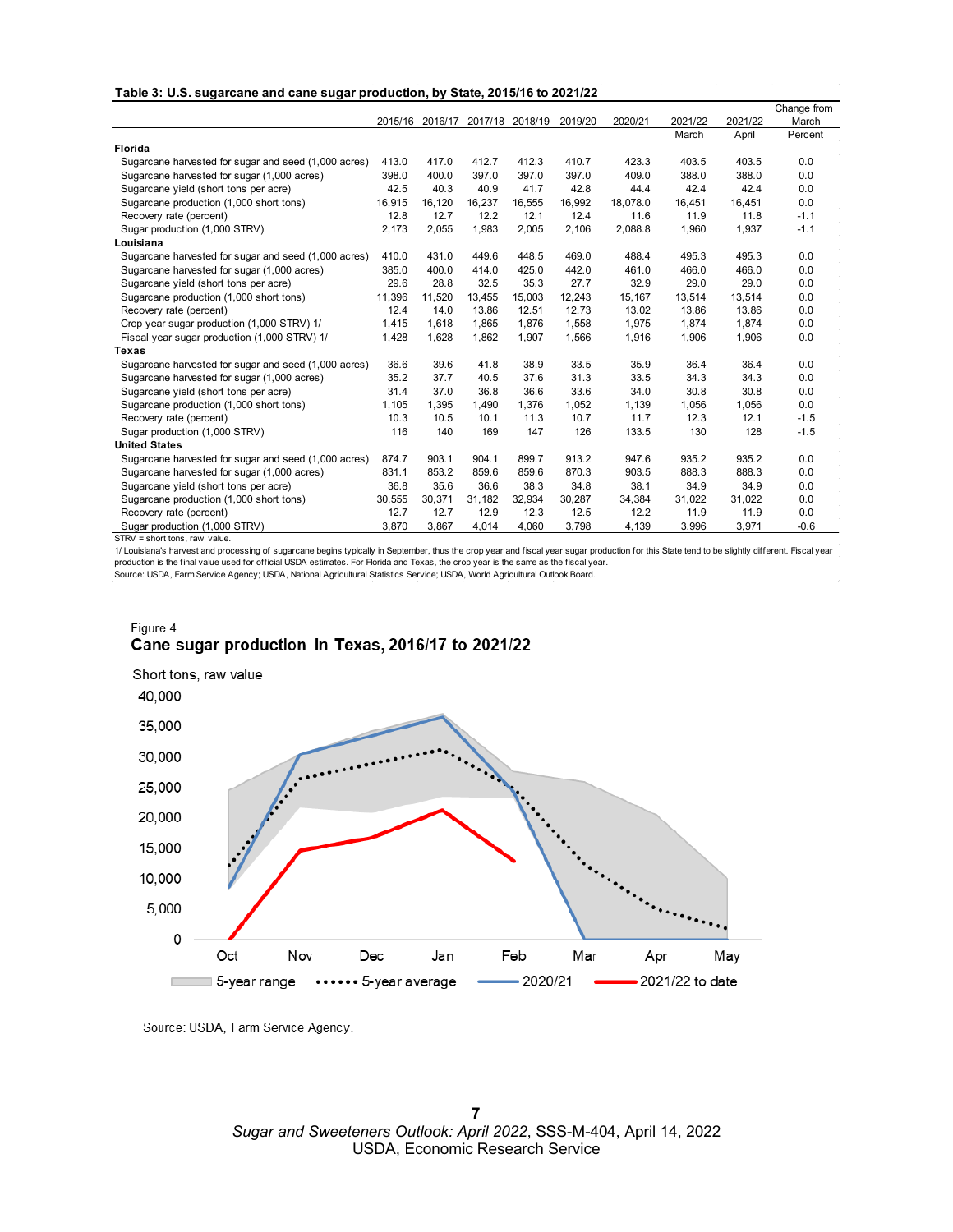| Table 3: U.S. sugarcane and cane sugar production, by State, 2015/16 to 2021/22 |  |
|---------------------------------------------------------------------------------|--|
|---------------------------------------------------------------------------------|--|

|                                                      |        |                 |        |                 |         |          |         |         | Change from |
|------------------------------------------------------|--------|-----------------|--------|-----------------|---------|----------|---------|---------|-------------|
|                                                      |        | 2015/16 2016/17 |        | 2017/18 2018/19 | 2019/20 | 2020/21  | 2021/22 | 2021/22 | March       |
|                                                      |        |                 |        |                 |         |          | March   | April   | Percent     |
| <b>Florida</b>                                       |        |                 |        |                 |         |          |         |         |             |
| Sugarcane harvested for sugar and seed (1,000 acres) | 413.0  | 417.0           | 412.7  | 412.3           | 410.7   | 423.3    | 403.5   | 403.5   | 0.0         |
| Sugarcane harvested for sugar (1,000 acres)          | 398.0  | 400.0           | 397.0  | 397.0           | 397.0   | 409.0    | 388.0   | 388.0   | 0.0         |
| Sugarcane yield (short tons per acre)                | 42.5   | 40.3            | 40.9   | 41.7            | 42.8    | 44.4     | 42.4    | 42.4    | 0.0         |
| Sugarcane production (1,000 short tons)              | 16,915 | 16,120          | 16,237 | 16,555          | 16,992  | 18,078.0 | 16,451  | 16,451  | 0.0         |
| Recovery rate (percent)                              | 12.8   | 12.7            | 12.2   | 12.1            | 12.4    | 11.6     | 11.9    | 11.8    | $-1.1$      |
| Sugar production (1,000 STRV)                        | 2,173  | 2,055           | 1,983  | 2,005           | 2,106   | 2,088.8  | 1,960   | 1,937   | $-1.1$      |
| Louisiana                                            |        |                 |        |                 |         |          |         |         |             |
| Sugarcane harvested for sugar and seed (1,000 acres) | 410.0  | 431.0           | 449.6  | 448.5           | 469.0   | 488.4    | 495.3   | 495.3   | 0.0         |
| Sugarcane harvested for sugar (1,000 acres)          | 385.0  | 400.0           | 414.0  | 425.0           | 442.0   | 461.0    | 466.0   | 466.0   | 0.0         |
| Sugarcane yield (short tons per acre)                | 29.6   | 28.8            | 32.5   | 35.3            | 27.7    | 32.9     | 29.0    | 29.0    | 0.0         |
| Sugarcane production (1,000 short tons)              | 11,396 | 11,520          | 13,455 | 15,003          | 12,243  | 15,167   | 13,514  | 13,514  | 0.0         |
| Recovery rate (percent)                              | 12.4   | 14.0            | 13.86  | 12.51           | 12.73   | 13.02    | 13.86   | 13.86   | 0.0         |
| Crop year sugar production (1,000 STRV) 1/           | 1,415  | 1,618           | 1.865  | 1,876           | 1,558   | 1,975    | 1,874   | 1,874   | 0.0         |
| Fiscal year sugar production (1,000 STRV) 1/         | 1,428  | 1,628           | 1,862  | 1,907           | 1,566   | 1,916    | 1,906   | 1,906   | 0.0         |
| <b>Texas</b>                                         |        |                 |        |                 |         |          |         |         |             |
| Sugarcane harvested for sugar and seed (1,000 acres) | 36.6   | 39.6            | 41.8   | 38.9            | 33.5    | 35.9     | 36.4    | 36.4    | 0.0         |
| Sugarcane harvested for sugar (1,000 acres)          | 35.2   | 37.7            | 40.5   | 37.6            | 31.3    | 33.5     | 34.3    | 34.3    | 0.0         |
| Sugarcane yield (short tons per acre)                | 31.4   | 37.0            | 36.8   | 36.6            | 33.6    | 34.0     | 30.8    | 30.8    | 0.0         |
| Sugarcane production (1,000 short tons)              | 1,105  | 1,395           | 1,490  | 1,376           | 1,052   | 1,139    | 1,056   | 1,056   | 0.0         |
| Recovery rate (percent)                              | 10.3   | 10.5            | 10.1   | 11.3            | 10.7    | 11.7     | 12.3    | 12.1    | $-1.5$      |
| Sugar production (1,000 STRV)                        | 116    | 140             | 169    | 147             | 126     | 133.5    | 130     | 128     | $-1.5$      |
| <b>United States</b>                                 |        |                 |        |                 |         |          |         |         |             |
| Sugarcane harvested for sugar and seed (1,000 acres) | 874.7  | 903.1           | 904.1  | 899.7           | 913.2   | 947.6    | 935.2   | 935.2   | 0.0         |
| Sugarcane harvested for sugar (1,000 acres)          | 831.1  | 853.2           | 859.6  | 859.6           | 870.3   | 903.5    | 888.3   | 888.3   | 0.0         |
| Sugarcane yield (short tons per acre)                | 36.8   | 35.6            | 36.6   | 38.3            | 34.8    | 38.1     | 34.9    | 34.9    | 0.0         |
| Sugarcane production (1,000 short tons)              | 30,555 | 30,371          | 31,182 | 32,934          | 30,287  | 34,384   | 31,022  | 31,022  | 0.0         |
| Recovery rate (percent)                              | 12.7   | 12.7            | 12.9   | 12.3            | 12.5    | 12.2     | 11.9    | 11.9    | 0.0         |
| Sugar production (1,000 STRV)                        | 3,870  | 3,867           | 4,014  | 4,060           | 3,798   | 4,139    | 3,996   | 3,971   | $-0.6$      |

STRV = short tons, raw value.

1/ Louisiana's harvest and processing of sugarcane begins typically in September, thus the crop year and fiscal year sugar production for this State tend to be slightly different. Fiscal year production is the final value used for official USDA estimates. For Florida and Texas, the crop year is the same as the fiscal year.

Source: USDA, Farm Service Agency; USDA, National Agricultural Statistics Service; USDA, World Agricultural Outlook Board.

### Figure 4 Cane sugar production in Texas, 2016/17 to 2021/22



Source: USDA, Farm Service Agency.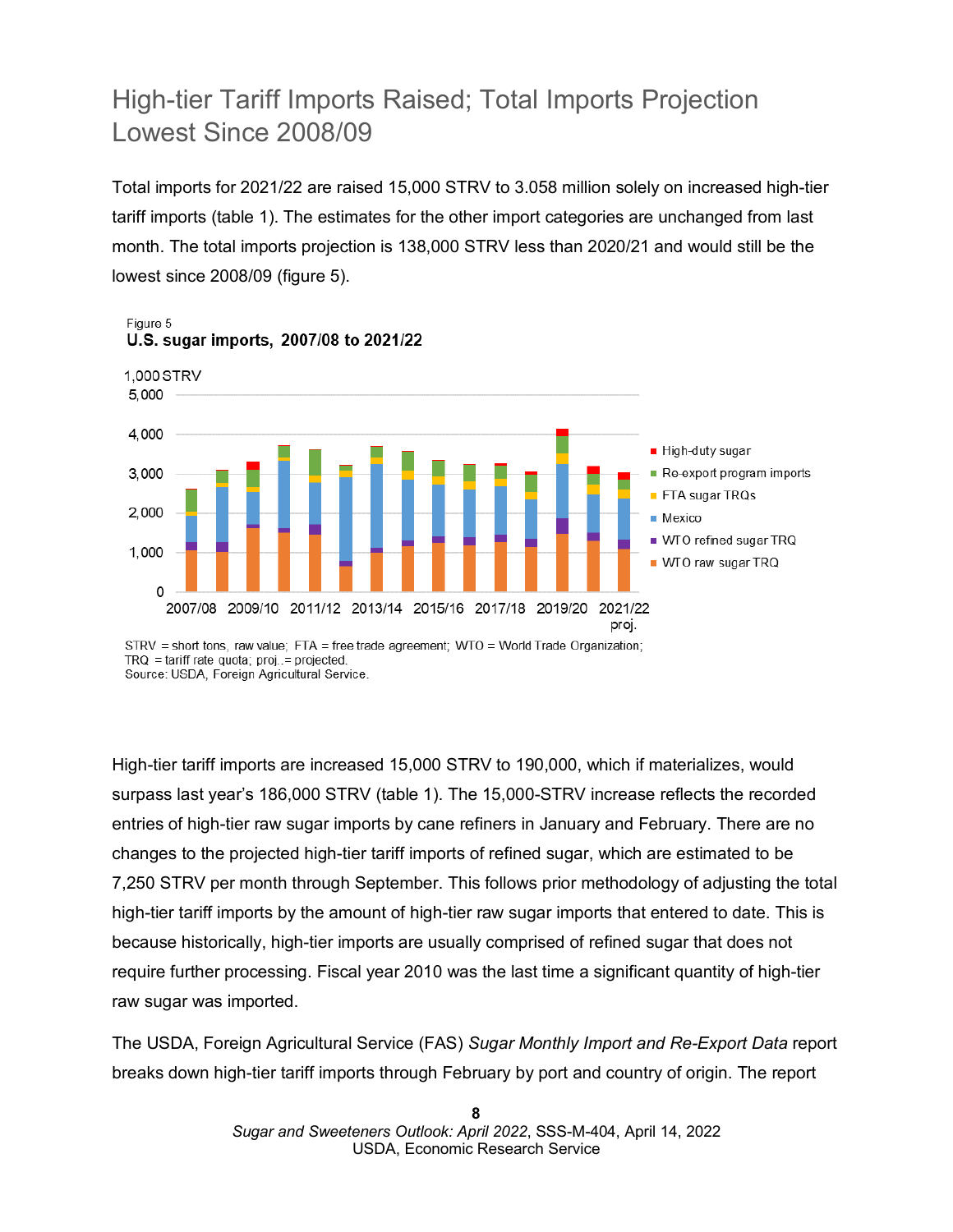# High-tier Tariff Imports Raised; Total Imports Projection Lowest Since 2008/09

Total imports for 2021/22 are raised 15,000 STRV to 3.058 million solely on increased high-tier tariff imports (table 1). The estimates for the other import categories are unchanged from last month. The total imports projection is 138,000 STRV less than 2020/21 and would still be the lowest since 2008/09 (figure 5).



STRV = short tons, raw value: FTA = free trade agreement: WTO = World Trade Organization:  $TRQ = \text{tariff rate quota}$ ;  $proj. = projected.$ Source: USDA, Foreign Agricultural Service.

High-tier tariff imports are increased 15,000 STRV to 190,000, which if materializes, would surpass last year's 186,000 STRV (table 1). The 15,000-STRV increase reflects the recorded entries of high-tier raw sugar imports by cane refiners in January and February. There are no changes to the projected high-tier tariff imports of refined sugar, which are estimated to be 7,250 STRV per month through September. This follows prior methodology of adjusting the total high-tier tariff imports by the amount of high-tier raw sugar imports that entered to date. This is because historically, high-tier imports are usually comprised of refined sugar that does not require further processing. Fiscal year 2010 was the last time a significant quantity of high-tier raw sugar was imported.

The USDA, Foreign Agricultural Service (FAS) *Sugar Monthly Import and Re-Export Data* report breaks down high-tier tariff imports through February by port and country of origin. The report

> **8**  *Sugar and Sweeteners Outlook: April 2022*, SSS-M-404, April 14, 2022 USDA, Economic Research Service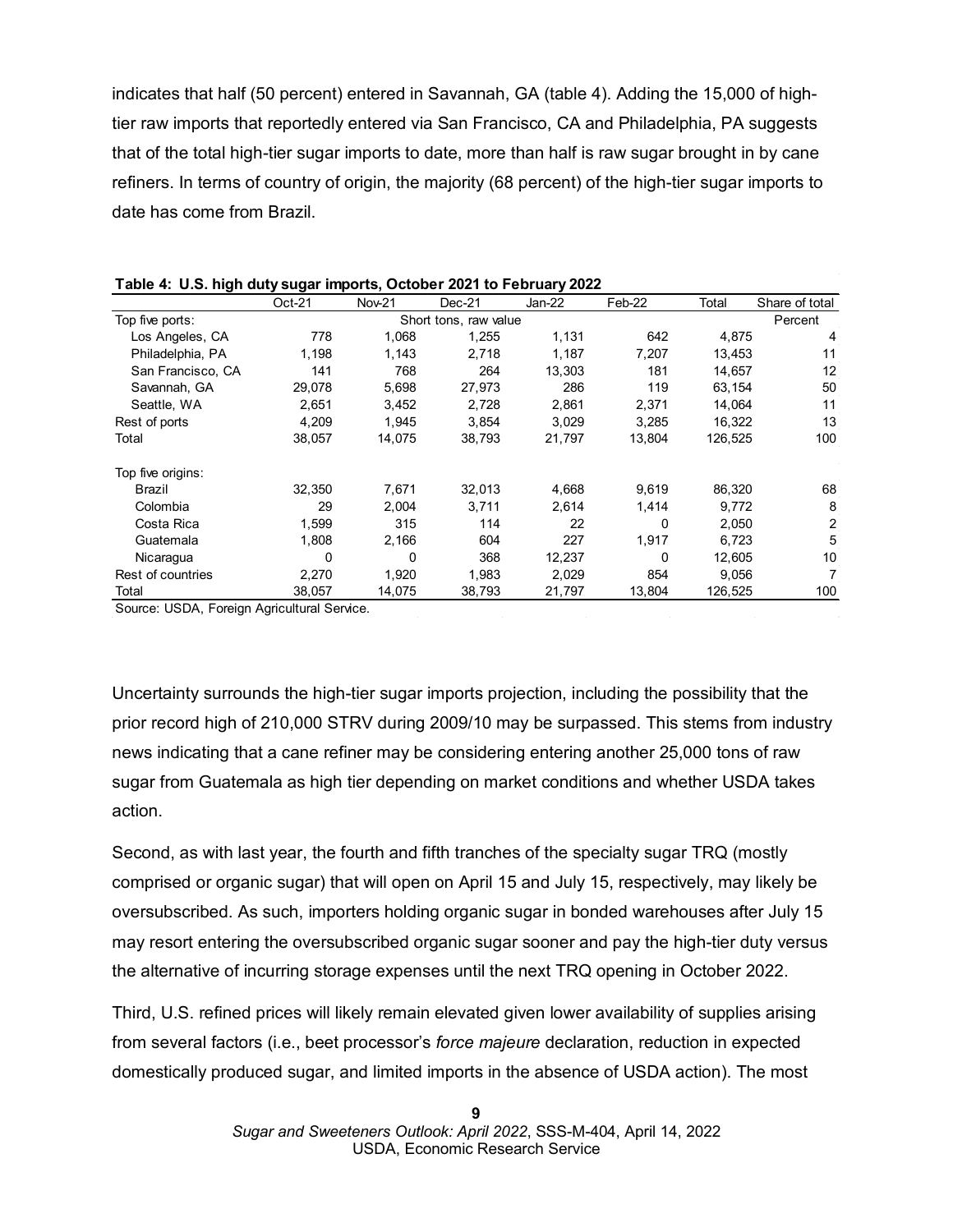indicates that half (50 percent) entered in Savannah, GA (table 4). Adding the 15,000 of hightier raw imports that reportedly entered via San Francisco, CA and Philadelphia, PA suggests that of the total high-tier sugar imports to date, more than half is raw sugar brought in by cane refiners. In terms of country of origin, the majority (68 percent) of the high-tier sugar imports to date has come from Brazil.

|                            | $Oct-21$ | <b>Nov-21</b> | $Dec-21$              | Jan-22 | Feb-22 | Total   | Share of total |
|----------------------------|----------|---------------|-----------------------|--------|--------|---------|----------------|
| Top five ports:            |          |               | Short tons, raw value |        |        |         | Percent        |
| Los Angeles, CA            | 778      | 1,068         | 1.255                 | 1,131  | 642    | 4,875   | 4              |
| Philadelphia, PA           | 1,198    | 1,143         | 2,718                 | 1,187  | 7,207  | 13,453  | 11             |
| San Francisco, CA          | 141      | 768           | 264                   | 13,303 | 181    | 14,657  | 12             |
| Savannah, GA               | 29,078   | 5,698         | 27,973                | 286    | 119    | 63,154  | 50             |
| Seattle, WA                | 2,651    | 3,452         | 2,728                 | 2,861  | 2,371  | 14,064  | 11             |
| Rest of ports              | 4,209    | 1,945         | 3,854                 | 3,029  | 3,285  | 16,322  | 13             |
| Total                      | 38,057   | 14,075        | 38,793                | 21,797 | 13,804 | 126,525 | 100            |
| Top five origins:          |          |               |                       |        |        |         |                |
| Brazil                     | 32,350   | 7,671         | 32,013                | 4,668  | 9,619  | 86,320  | 68             |
| Colombia                   | 29       | 2,004         | 3,711                 | 2,614  | 1,414  | 9,772   | 8              |
| Costa Rica                 | 1,599    | 315           | 114                   | 22     | 0      | 2,050   | 2              |
| Guatemala                  | 1,808    | 2,166         | 604                   | 227    | 1,917  | 6,723   | 5              |
| Nicaragua                  | 0        | 0             | 368                   | 12,237 | 0      | 12,605  | 10             |
| Rest of countries          | 2,270    | 1,920         | 1,983                 | 2,029  | 854    | 9,056   |                |
| Total<br>$\cdots$ $\cdots$ | 38,057   | 14,075        | 38,793                | 21,797 | 13,804 | 126,525 | 100            |

| Table 4: U.S. high duty sugar imports, October 2021 to February 2022 |  |
|----------------------------------------------------------------------|--|
|----------------------------------------------------------------------|--|

Source: USDA, Foreign Agricultural Service.

Uncertainty surrounds the high-tier sugar imports projection, including the possibility that the prior record high of 210,000 STRV during 2009/10 may be surpassed. This stems from industry news indicating that a cane refiner may be considering entering another 25,000 tons of raw sugar from Guatemala as high tier depending on market conditions and whether USDA takes action.

Second, as with last year, the fourth and fifth tranches of the specialty sugar TRQ (mostly comprised or organic sugar) that will open on April 15 and July 15, respectively, may likely be oversubscribed. As such, importers holding organic sugar in bonded warehouses after July 15 may resort entering the oversubscribed organic sugar sooner and pay the high-tier duty versus the alternative of incurring storage expenses until the next TRQ opening in October 2022.

Third, U.S. refined prices will likely remain elevated given lower availability of supplies arising from several factors (i.e., beet processor's *force majeure* declaration, reduction in expected domestically produced sugar, and limited imports in the absence of USDA action). The most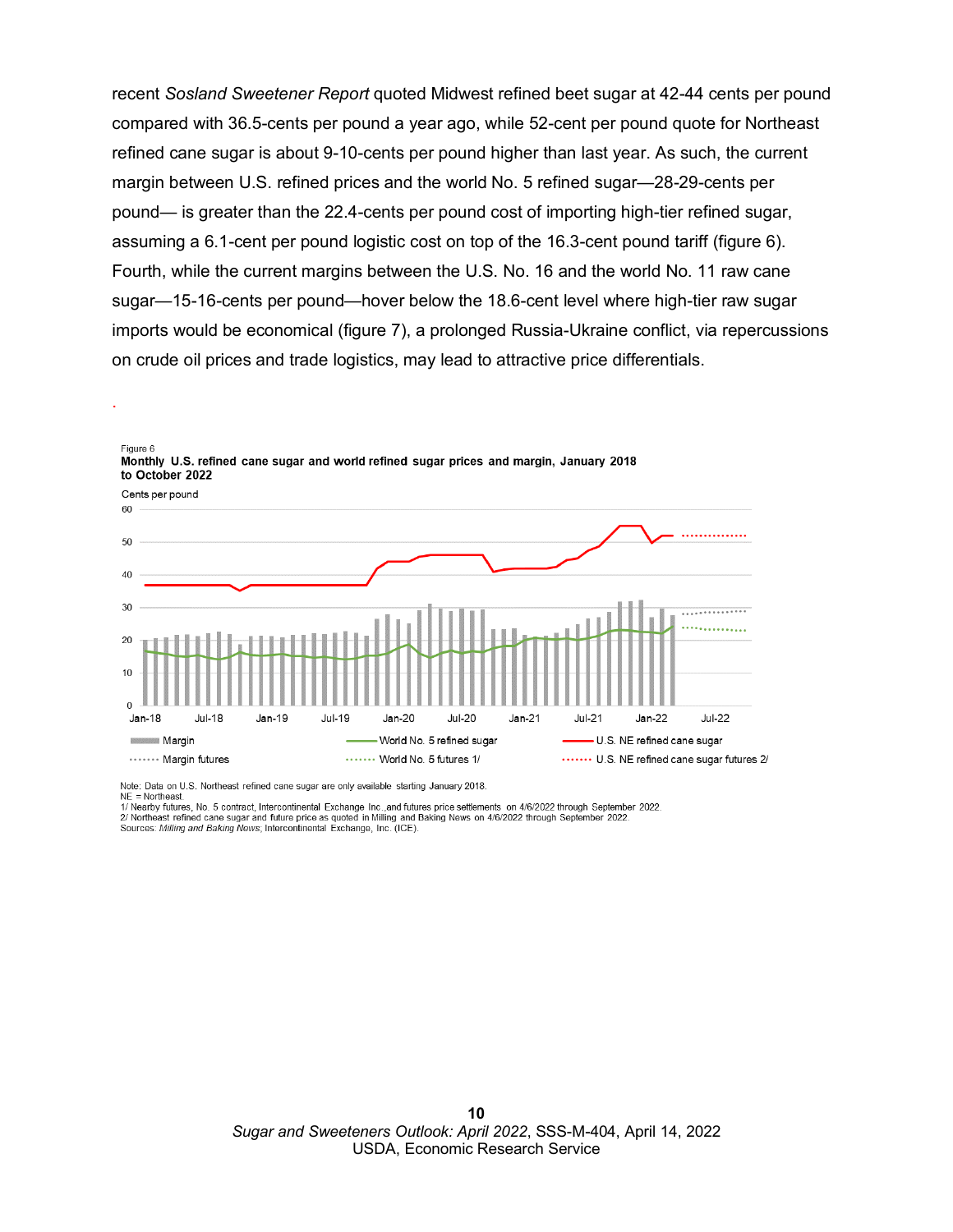recent *Sosland Sweetener Report* quoted Midwest refined beet sugar at 42-44 cents per pound compared with 36.5-cents per pound a year ago, while 52-cent per pound quote for Northeast refined cane sugar is about 9-10-cents per pound higher than last year. As such, the current margin between U.S. refined prices and the world No. 5 refined sugar—28-29-cents per pound— is greater than the 22.4-cents per pound cost of importing high-tier refined sugar, assuming a 6.1-cent per pound logistic cost on top of the 16.3-cent pound tariff (figure 6). Fourth, while the current margins between the U.S. No. 16 and the world No. 11 raw cane sugar—15-16-cents per pound—hover below the 18.6-cent level where high-tier raw sugar imports would be economical (figure 7), a prolonged Russia-Ukraine conflict, via repercussions on crude oil prices and trade logistics, may lead to attractive price differentials.



Figure 6 Monthly U.S. refined cane sugar and world refined sugar prices and margin, January 2018 to October 2022

Note: Data on U.S. Northeast refined cane sugar are only available starting January 2018.  $NE = Northeast$ 

.

1/ Nearby futures, No. 5 contract, Intercontinental Exchange Inc. and futures price settlements on 4/6/2022 through September 2022. 2/ Northeast refined cane sugar and future price as quoted in Milling and Baking News on 4/6/2022 through September 2022. Sources: Milling and Baking News; Intercontinental Exchange, Inc. (ICE).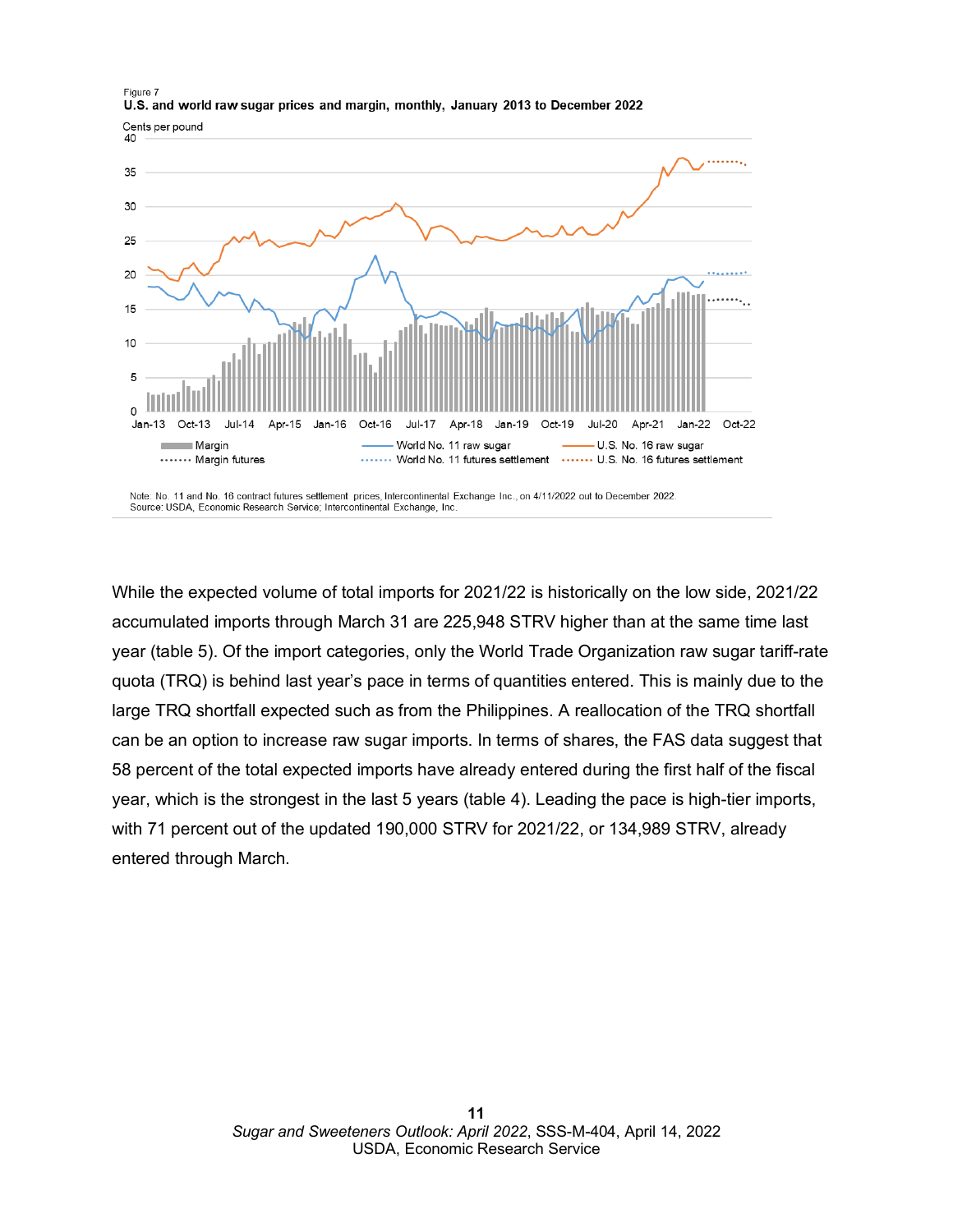

While the expected volume of total imports for 2021/22 is historically on the low side, 2021/22 accumulated imports through March 31 are 225,948 STRV higher than at the same time last year (table 5). Of the import categories, only the World Trade Organization raw sugar tariff-rate quota (TRQ) is behind last year's pace in terms of quantities entered. This is mainly due to the large TRQ shortfall expected such as from the Philippines. A reallocation of the TRQ shortfall can be an option to increase raw sugar imports. In terms of shares, the FAS data suggest that 58 percent of the total expected imports have already entered during the first half of the fiscal year, which is the strongest in the last 5 years (table 4). Leading the pace is high-tier imports, with 71 percent out of the updated 190,000 STRV for 2021/22, or 134,989 STRV, already entered through March.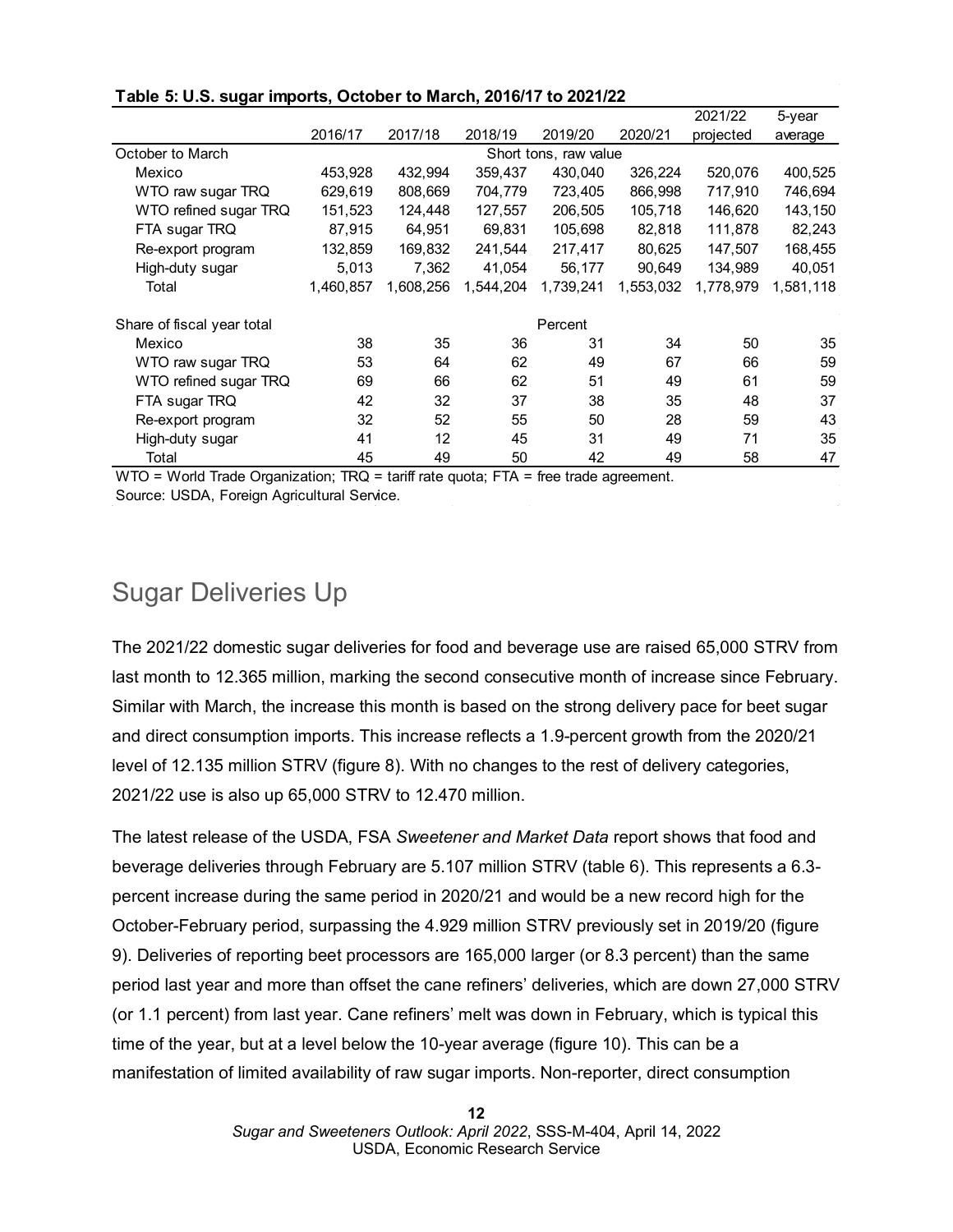|                            |           |           |           |                       |           | 2021/22   | 5-year    |
|----------------------------|-----------|-----------|-----------|-----------------------|-----------|-----------|-----------|
|                            | 2016/17   | 2017/18   | 2018/19   | 2019/20               | 2020/21   | projected | average   |
| October to March           |           |           |           | Short tons, raw value |           |           |           |
| Mexico                     | 453,928   | 432,994   | 359,437   | 430,040               | 326,224   | 520,076   | 400,525   |
| WTO raw sugar TRQ          | 629,619   | 808,669   | 704,779   | 723,405               | 866,998   | 717,910   | 746,694   |
| WTO refined sugar TRQ      | 151,523   | 124,448   | 127,557   | 206,505               | 105,718   | 146,620   | 143,150   |
| FTA sugar TRQ              | 87,915    | 64,951    | 69,831    | 105,698               | 82,818    | 111,878   | 82,243    |
| Re-export program          | 132,859   | 169,832   | 241,544   | 217,417               | 80,625    | 147,507   | 168,455   |
| High-duty sugar            | 5,013     | 7,362     | 41,054    | 56,177                | 90,649    | 134,989   | 40,051    |
| Total                      | 1,460,857 | 1,608,256 | 1,544,204 | 1,739,241             | 1,553,032 | 1,778,979 | 1,581,118 |
| Share of fiscal year total |           |           |           | Percent               |           |           |           |
| Mexico                     | 38        | 35        | 36        | 31                    | 34        | 50        | 35        |
| WTO raw sugar TRQ          | 53        | 64        | 62        | 49                    | 67        | 66        | 59        |
| WTO refined sugar TRQ      | 69        | 66        | 62        | 51                    | 49        | 61        | 59        |
| FTA sugar TRQ              | 42        | 32        | 37        | 38                    | 35        | 48        | 37        |
| Re-export program          | 32        | 52        | 55        | 50                    | 28        | 59        | 43        |
| High-duty sugar            | 41        | 12        | 45        | 31                    | 49        | 71        | 35        |
| Total                      | 45        | 49        | 50        | 42                    | 49        | 58        | 47        |

### **Table 5: U.S. sugar imports, October to March, 2016/17 to 2021/22**

WTO = World Trade Organization; TRQ = tariff rate quota; FTA = free trade agreement. Source: USDA, Foreign Agricultural Service.

## Sugar Deliveries Up

The 2021/22 domestic sugar deliveries for food and beverage use are raised 65,000 STRV from last month to 12.365 million, marking the second consecutive month of increase since February. Similar with March, the increase this month is based on the strong delivery pace for beet sugar and direct consumption imports. This increase reflects a 1.9-percent growth from the 2020/21 level of 12.135 million STRV (figure 8). With no changes to the rest of delivery categories, 2021/22 use is also up 65,000 STRV to 12.470 million.

The latest release of the USDA, FSA *Sweetener and Market Data* report shows that food and beverage deliveries through February are 5.107 million STRV (table 6). This represents a 6.3 percent increase during the same period in 2020/21 and would be a new record high for the October-February period, surpassing the 4.929 million STRV previously set in 2019/20 (figure 9). Deliveries of reporting beet processors are 165,000 larger (or 8.3 percent) than the same period last year and more than offset the cane refiners' deliveries, which are down 27,000 STRV (or 1.1 percent) from last year. Cane refiners' melt was down in February, which is typical this time of the year, but at a level below the 10-year average (figure 10). This can be a manifestation of limited availability of raw sugar imports. Non-reporter, direct consumption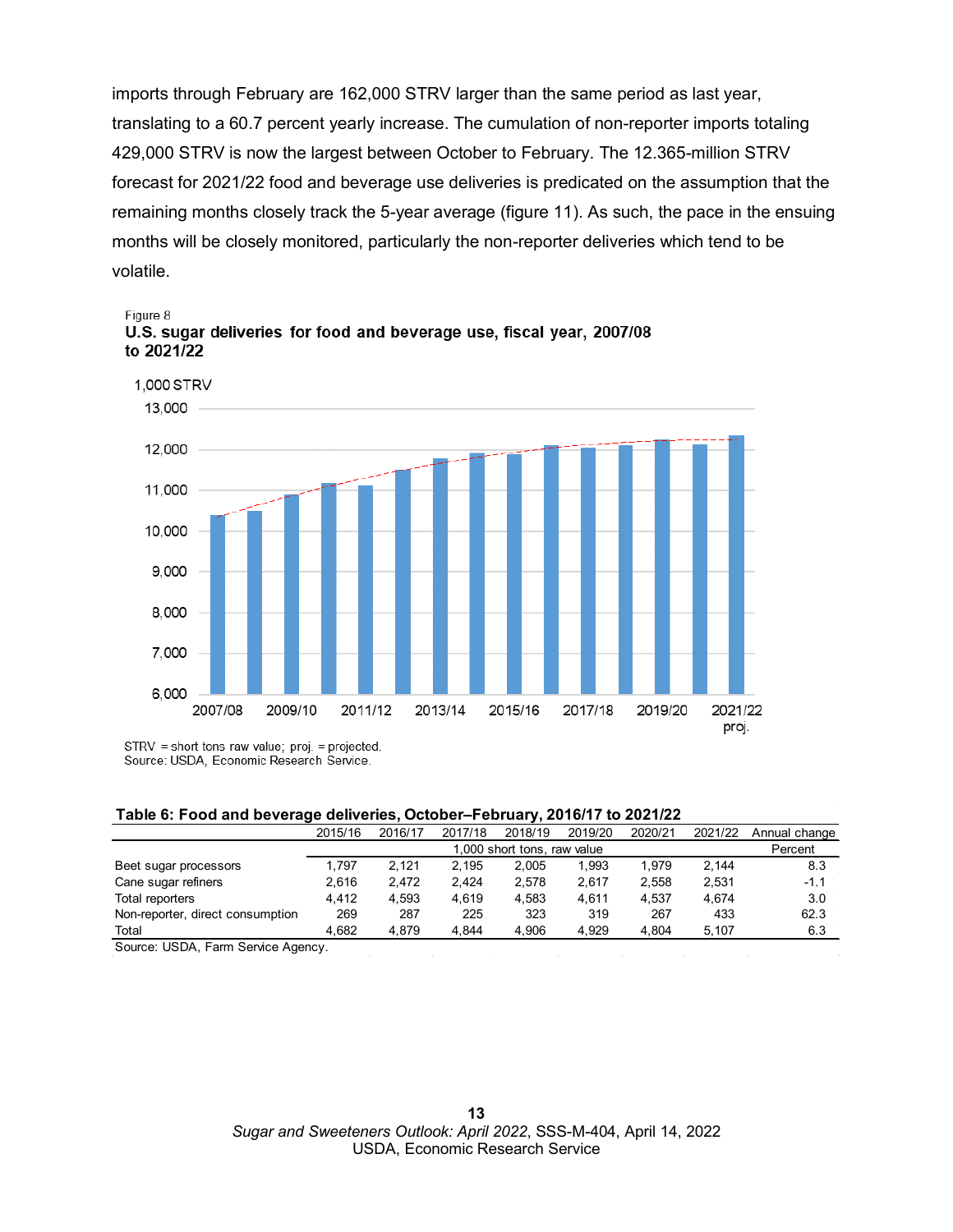imports through February are 162,000 STRV larger than the same period as last year, translating to a 60.7 percent yearly increase. The cumulation of non-reporter imports totaling 429,000 STRV is now the largest between October to February. The 12.365-million STRV forecast for 2021/22 food and beverage use deliveries is predicated on the assumption that the remaining months closely track the 5-year average (figure 11). As such, the pace in the ensuing months will be closely monitored, particularly the non-reporter deliveries which tend to be volatile.



Figure 8 U.S. sugar deliveries for food and beverage use, fiscal year, 2007/08 to 2021/22

### **Table 6: Food and beverage deliveries, October–February, 2016/17 to 2021/22**

|                                  | . .     |                             |         | . .     |         |         |         |               |  |  |
|----------------------------------|---------|-----------------------------|---------|---------|---------|---------|---------|---------------|--|--|
|                                  | 2015/16 | 2016/17                     | 2017/18 | 2018/19 | 2019/20 | 2020/21 | 2021/22 | Annual change |  |  |
|                                  |         | 1,000 short tons, raw value |         |         |         |         |         |               |  |  |
| Beet sugar processors            | 1.797   | 2.121                       | 2.195   | 2.005   | 1.993   | 1.979   | 2.144   | 8.3           |  |  |
| Cane sugar refiners              | 2.616   | 2,472                       | 2.424   | 2.578   | 2.617   | 2,558   | 2.531   | $-1.1$        |  |  |
| Total reporters                  | 4.412   | 4.593                       | 4.619   | 4.583   | 4.611   | 4.537   | 4.674   | 3.0           |  |  |
| Non-reporter, direct consumption | 269     | 287                         | 225     | 323     | 319     | 267     | 433     | 62.3          |  |  |
| Total                            | 4.682   | 4.879                       | 4.844   | 4.906   | 4.929   | 4.804   | 5.107   | 6.3           |  |  |
|                                  |         |                             |         |         |         |         |         |               |  |  |

Source: USDA, Farm Service Agency.

STRV = short tons raw value; proj. = projected. Source: USDA, Economic Research Service.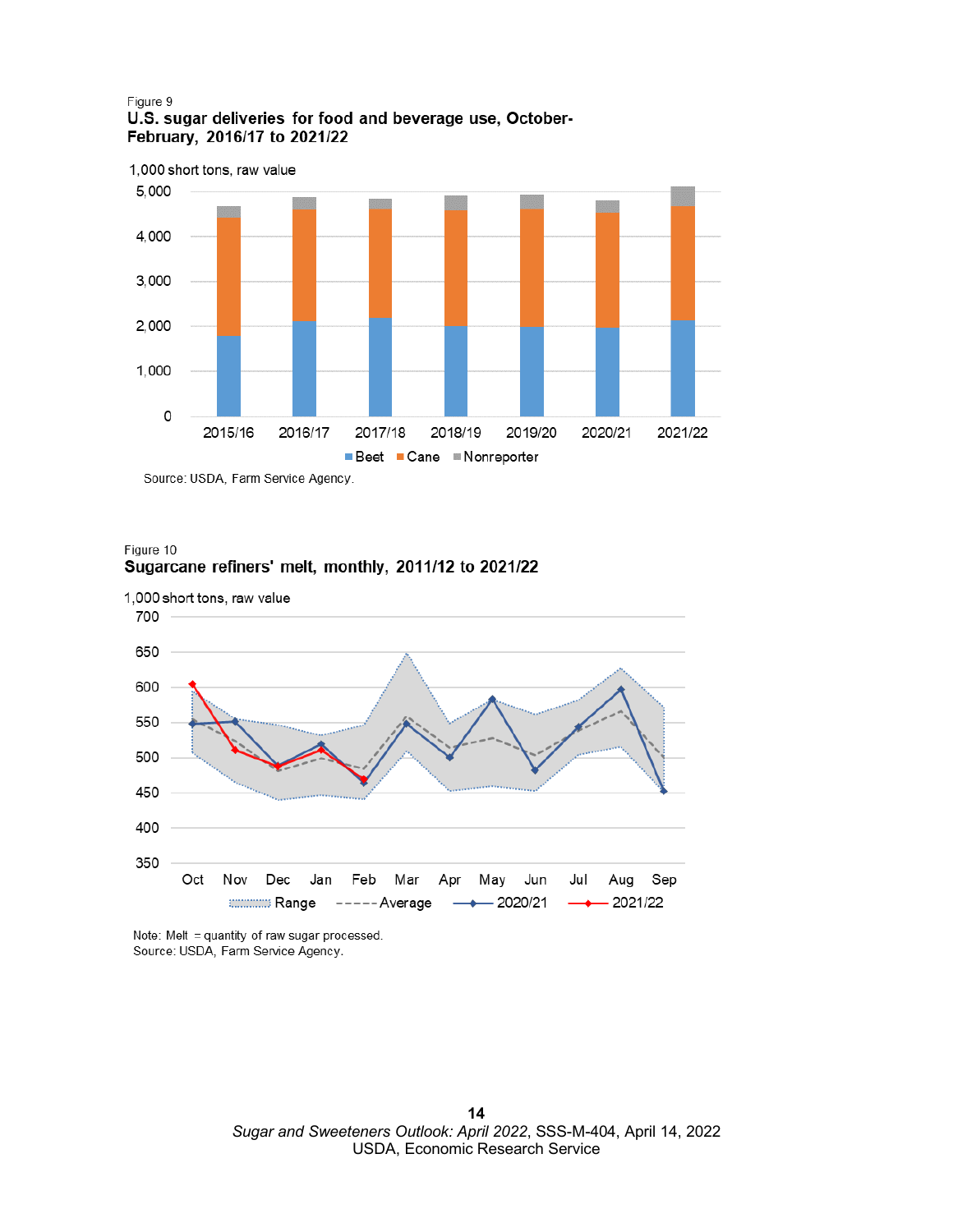### Figure 9 U.S. sugar deliveries for food and beverage use, October-February, 2016/17 to 2021/22



Source: USDA, Farm Service Agency.

### Figure 10 Sugarcane refiners' melt, monthly, 2011/12 to 2021/22



Note: Melt = quantity of raw sugar processed. Source: USDA, Farm Service Agency.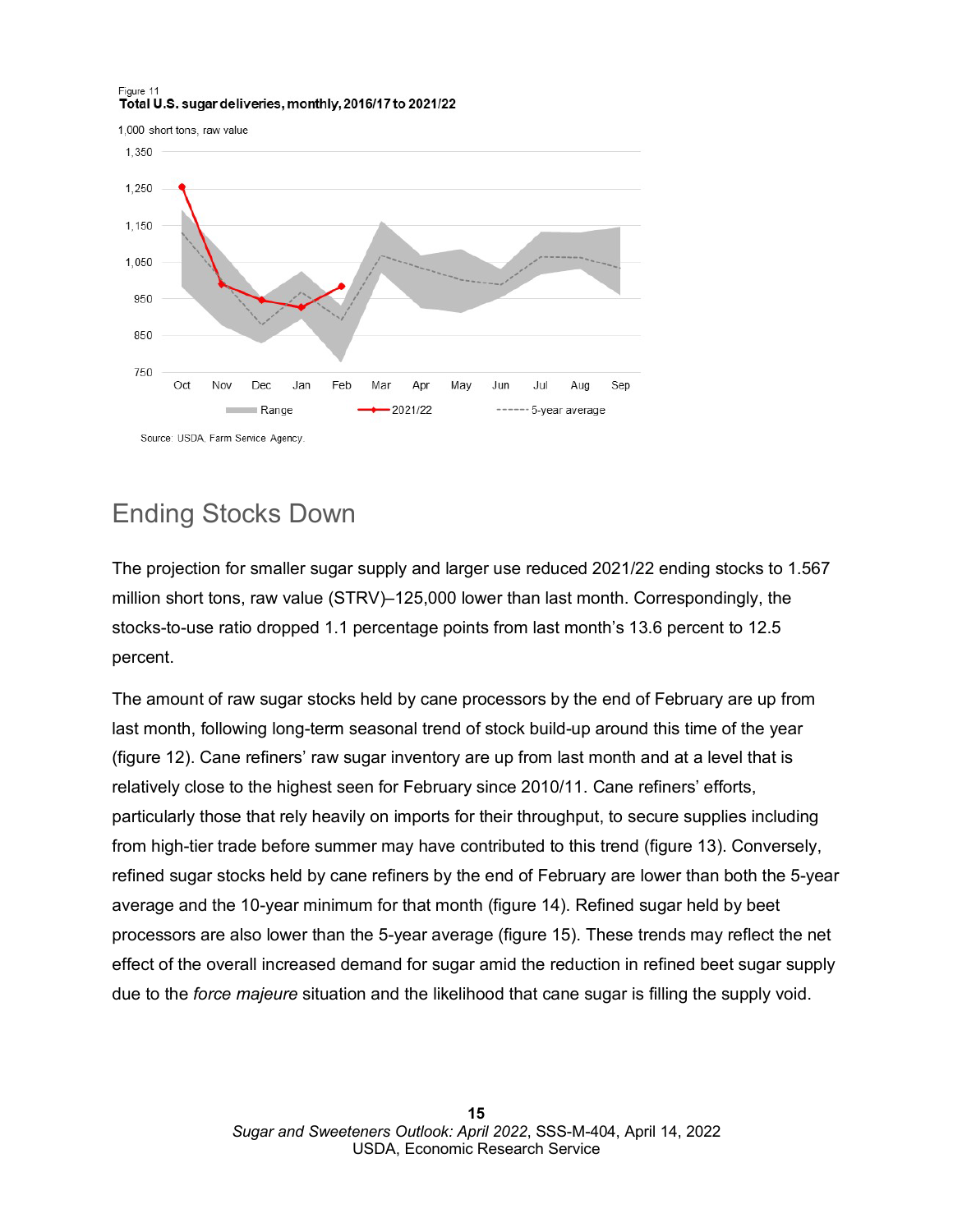### Figure 11 Total U.S. sugar deliveries, monthly, 2016/17 to 2021/22

1,000 short tons, raw value



# Ending Stocks Down

The projection for smaller sugar supply and larger use reduced 2021/22 ending stocks to 1.567 million short tons, raw value (STRV)–125,000 lower than last month. Correspondingly, the stocks-to-use ratio dropped 1.1 percentage points from last month's 13.6 percent to 12.5 percent.

The amount of raw sugar stocks held by cane processors by the end of February are up from last month, following long-term seasonal trend of stock build-up around this time of the year (figure 12). Cane refiners' raw sugar inventory are up from last month and at a level that is relatively close to the highest seen for February since 2010/11. Cane refiners' efforts, particularly those that rely heavily on imports for their throughput, to secure supplies including from high-tier trade before summer may have contributed to this trend (figure 13). Conversely, refined sugar stocks held by cane refiners by the end of February are lower than both the 5-year average and the 10-year minimum for that month (figure 14). Refined sugar held by beet processors are also lower than the 5-year average (figure 15). These trends may reflect the net effect of the overall increased demand for sugar amid the reduction in refined beet sugar supply due to the *force majeure* situation and the likelihood that cane sugar is filling the supply void.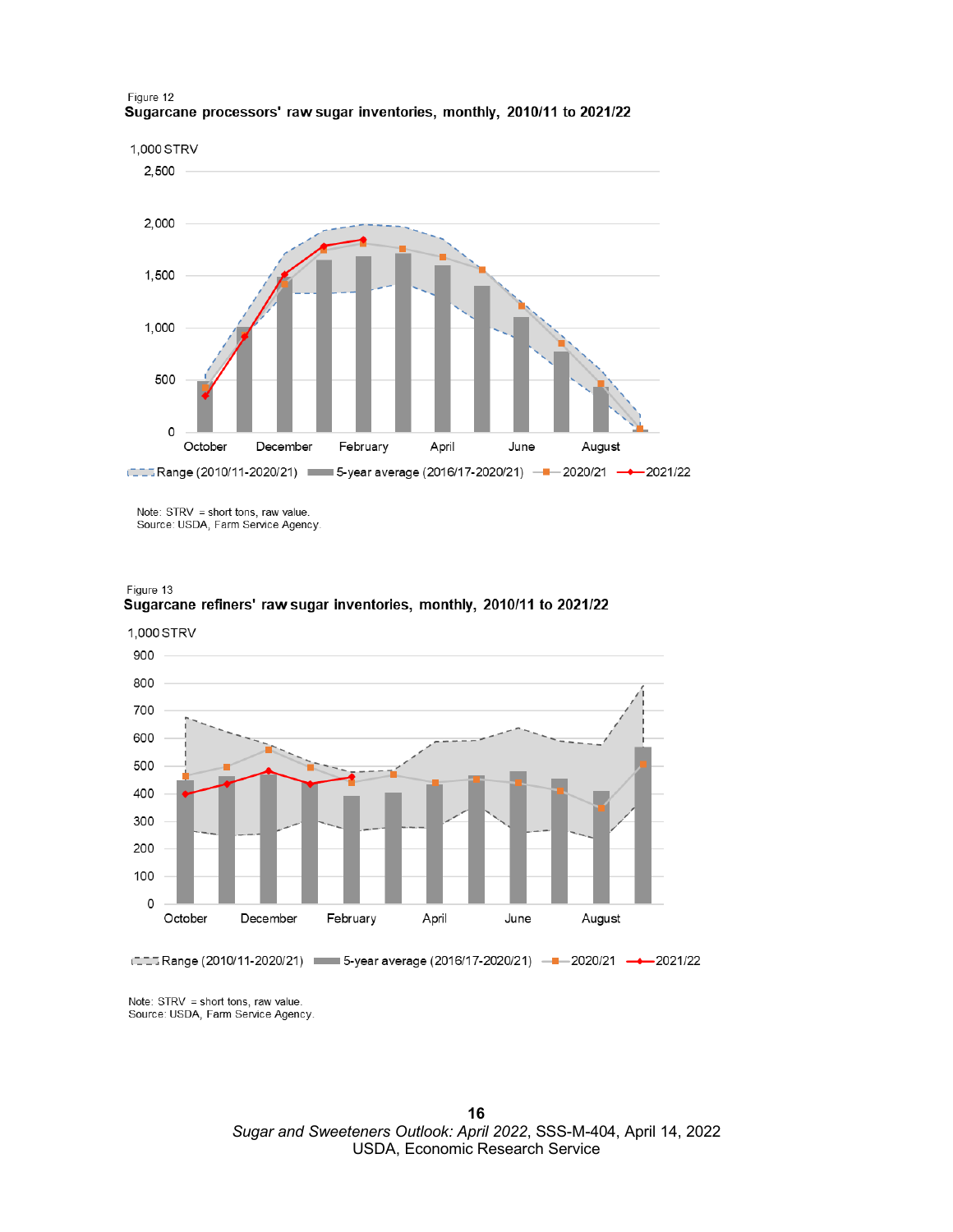

#### Figure 12 Sugarcane processors' raw sugar inventories, monthly, 2010/11 to 2021/22

Note: STRV = short tons, raw value.<br>Source: USDA, Farm Service Agency.



900 800 700 600 500 400 300 200 100 0 October February April December June August China Range (2010/11-2020/21) – 5-year average (2016/17-2020/21) – - 2020/21 – → 2021/22

1,000 STRV

Note: STRV = short tons, raw value. Source: USDA, Farm Service Agency.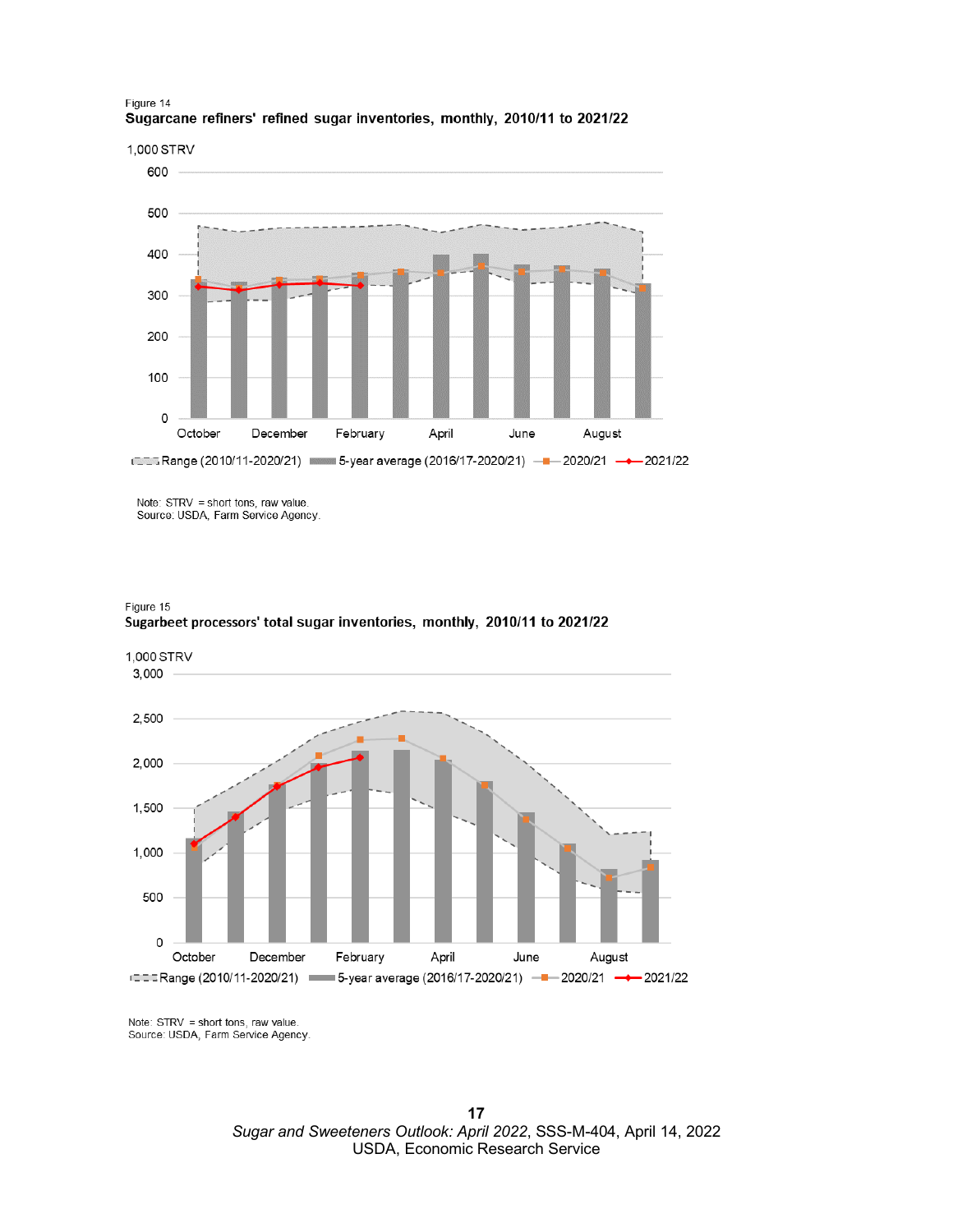

### Figure 14 Sugarcane refiners' refined sugar inventories, monthly, 2010/11 to 2021/22

Note: STRV = short tons, raw value. Source: USDA, Farm Service Agency.





Note: STRV = short tons, raw value. Source: USDA, Farm Service Agency.

> $17$ Sugar and Sweeteners Outlook: April 2022, SSS-M-404, April 14, 2022 USDA, Economic Research Service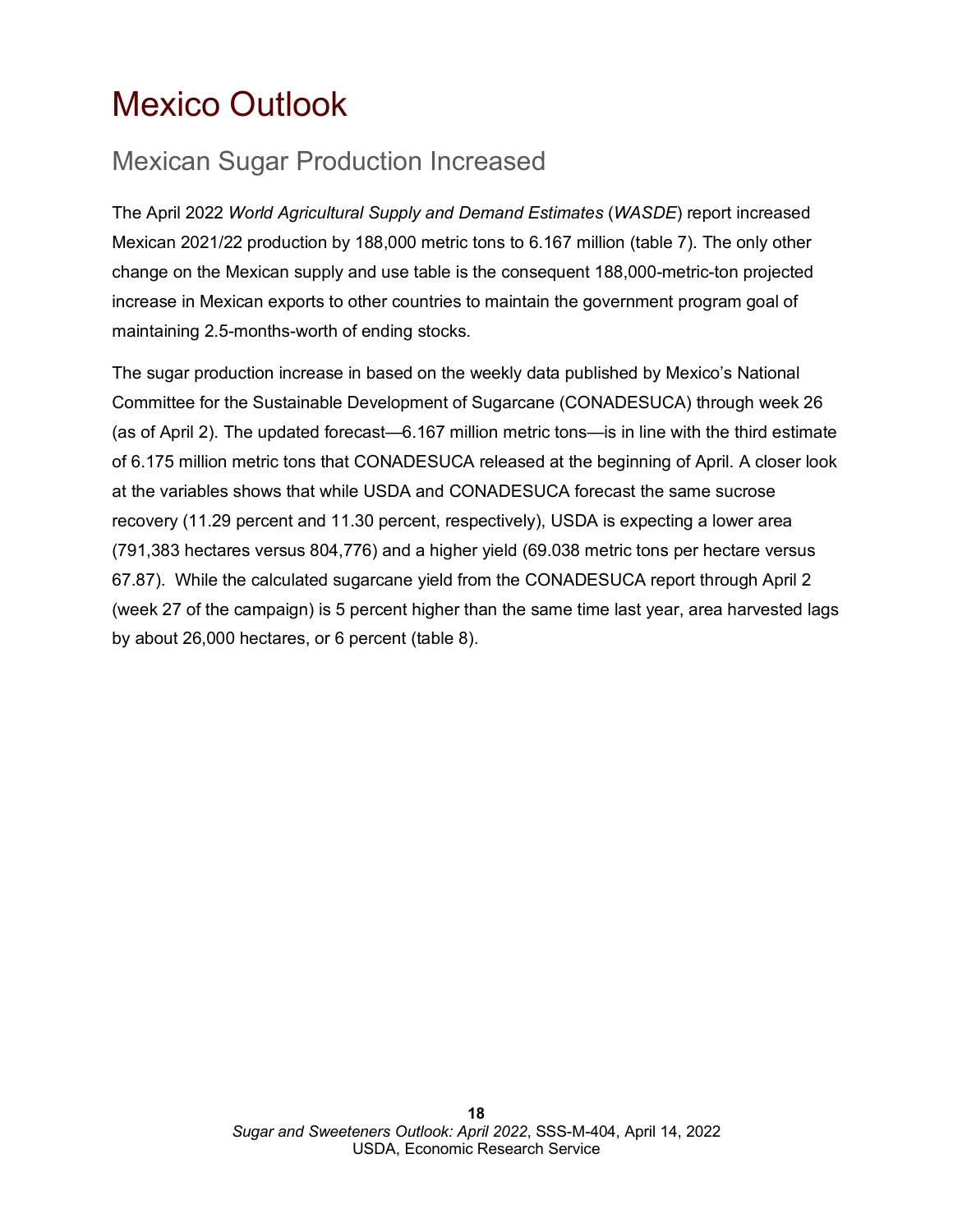# <span id="page-17-0"></span>Mexico Outlook

# Mexican Sugar Production Increased

The April 2022 *World Agricultural Supply and Demand Estimates* (*WASDE*) report increased Mexican 2021/22 production by 188,000 metric tons to 6.167 million (table 7). The only other change on the Mexican supply and use table is the consequent 188,000-metric-ton projected increase in Mexican exports to other countries to maintain the government program goal of maintaining 2.5-months-worth of ending stocks.

The sugar production increase in based on the weekly data published by Mexico's National Committee for the Sustainable Development of Sugarcane (CONADESUCA) through week 26 (as of April 2). The updated forecast—6.167 million metric tons—is in line with the third estimate of 6.175 million metric tons that CONADESUCA released at the beginning of April. A closer look at the variables shows that while USDA and CONADESUCA forecast the same sucrose recovery (11.29 percent and 11.30 percent, respectively), USDA is expecting a lower area (791,383 hectares versus 804,776) and a higher yield (69.038 metric tons per hectare versus 67.87). While the calculated sugarcane yield from the CONADESUCA report through April 2 (week 27 of the campaign) is 5 percent higher than the same time last year, area harvested lags by about 26,000 hectares, or 6 percent (table 8).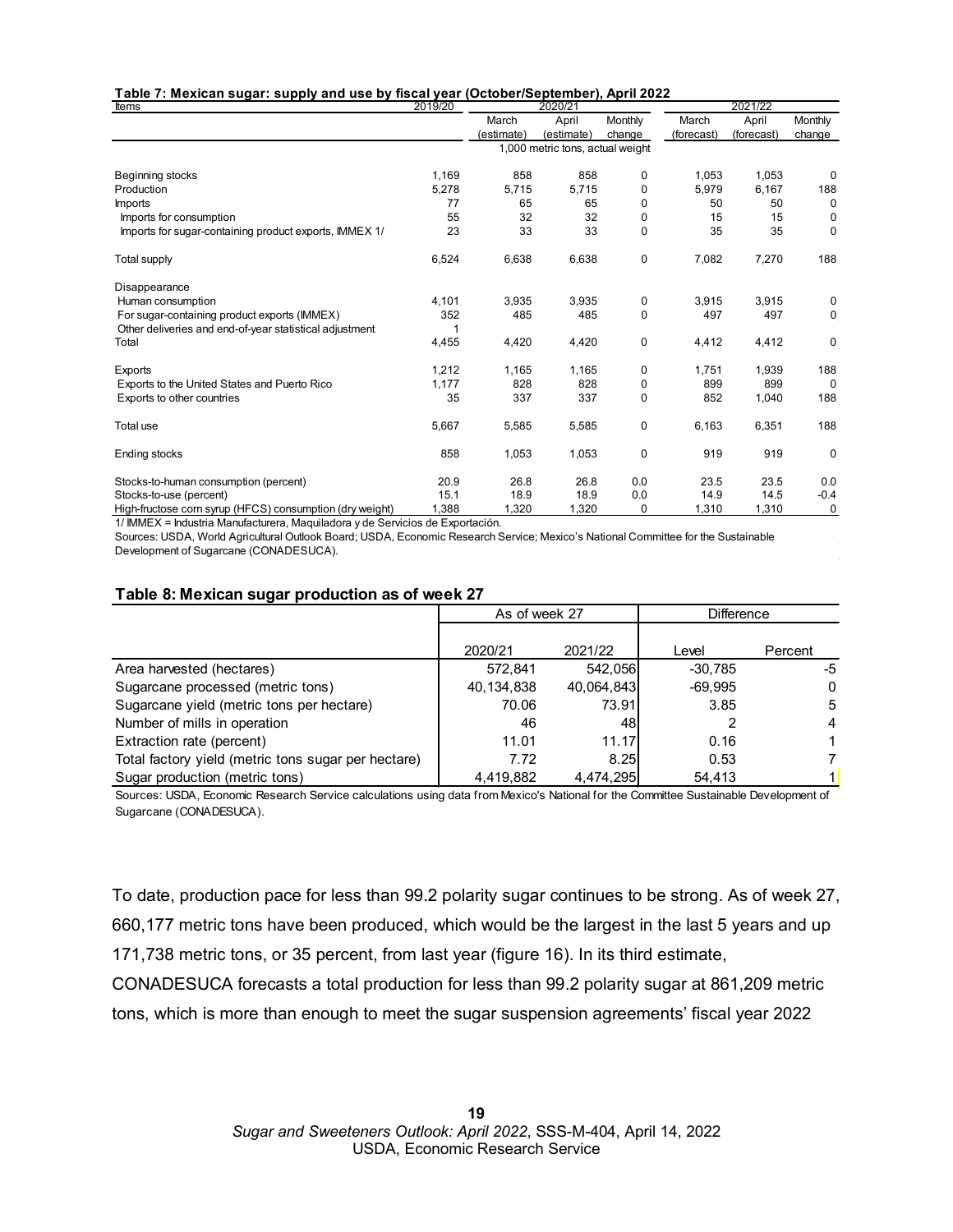| Table 7: Mexican sugar: supply and use by fiscal year (October/September), April 2022 |
|---------------------------------------------------------------------------------------|
|---------------------------------------------------------------------------------------|

| Items                                                    | 2019/20 |            | 2020/21                          |             |            | 2021/22    |              |  |
|----------------------------------------------------------|---------|------------|----------------------------------|-------------|------------|------------|--------------|--|
|                                                          |         | March      | April                            | Monthly     | March      | April      | Monthly      |  |
|                                                          |         | (estimate) | (estimate)                       | change      | (forecast) | (forecast) | change       |  |
|                                                          |         |            | 1,000 metric tons, actual weight |             |            |            |              |  |
| Beginning stocks                                         | 1,169   | 858        | 858                              | 0           | 1,053      | 1,053      | $\Omega$     |  |
| Production                                               | 5,278   | 5,715      | 5,715                            | 0           | 5,979      | 6,167      | 188          |  |
| <b>Imports</b>                                           | 77      | 65         | 65                               | 0           | 50         | 50         | $\Omega$     |  |
| Imports for consumption                                  | 55      | 32         | 32                               | 0           | 15         | 15         | 0            |  |
| Imports for sugar-containing product exports, IMMEX 1/   | 23      | 33         | 33                               | 0           | 35         | 35         | $\mathbf 0$  |  |
| Total supply                                             | 6,524   | 6,638      | 6,638                            | 0           | 7,082      | 7,270      | 188          |  |
| Disappearance                                            |         |            |                                  |             |            |            |              |  |
| Human consumption                                        | 4,101   | 3,935      | 3,935                            | 0           | 3,915      | 3,915      | 0            |  |
| For sugar-containing product exports (IMMEX)             | 352     | 485        | 485                              | $\mathbf 0$ | 497        | 497        | $\Omega$     |  |
| Other deliveries and end-of-year statistical adjustment  |         |            |                                  |             |            |            |              |  |
| Total                                                    | 4,455   | 4,420      | 4,420                            | 0           | 4,412      | 4,412      | $\mathbf 0$  |  |
| Exports                                                  | 1,212   | 1,165      | 1,165                            | 0           | 1,751      | 1,939      | 188          |  |
| Exports to the United States and Puerto Rico             | 1.177   | 828        | 828                              | 0           | 899        | 899        | $\Omega$     |  |
| Exports to other countries                               | 35      | 337        | 337                              | $\mathbf 0$ | 852        | 1,040      | 188          |  |
| Total use                                                | 5,667   | 5,585      | 5,585                            | 0           | 6,163      | 6,351      | 188          |  |
| <b>Ending stocks</b>                                     | 858     | 1,053      | 1,053                            | 0           | 919        | 919        | $\mathbf{0}$ |  |
| Stocks-to-human consumption (percent)                    | 20.9    | 26.8       | 26.8                             | 0.0         | 23.5       | 23.5       | 0.0          |  |
| Stocks-to-use (percent)                                  | 15.1    | 18.9       | 18.9                             | 0.0         | 14.9       | 14.5       | $-0.4$       |  |
| High-fructose corn syrup (HFCS) consumption (dry weight) | 1,388   | 1,320      | 1,320                            | 0           | 1,310      | 1,310      | 0            |  |

1/ IMMEX = Industria Manufacturera, Maquiladora y de Servicios de Exportación.

Sources: USDA, World Agricultural Outlook Board; USDA, Economic Research Service; Mexico's National Committee for the Sustainable Development of Sugarcane (CONADESUCA).

|  | Table 8: Mexican sugar production as of week 27 |
|--|-------------------------------------------------|
|--|-------------------------------------------------|

|                                                     | As of week 27 |            | <b>Difference</b> |         |  |
|-----------------------------------------------------|---------------|------------|-------------------|---------|--|
|                                                     |               |            |                   |         |  |
|                                                     | 2020/21       | 2021/22    | Level             | Percent |  |
| Area harvested (hectares)                           | 572.841       | 542,056    | $-30.785$         | -5      |  |
| Sugarcane processed (metric tons)                   | 40,134,838    | 40,064,843 | $-69,995$         | 0       |  |
| Sugarcane yield (metric tons per hectare)           | 70.06         | 73.91      | 3.85              | 5       |  |
| Number of mills in operation                        | 46            | 48         |                   | 4       |  |
| Extraction rate (percent)                           | 11.01         | 11.17      | 0.16              |         |  |
| Total factory yield (metric tons sugar per hectare) | 7.72          | 8.25       | 0.53              |         |  |
| Sugar production (metric tons)                      | 4,419,882     | 4,474,295  | 54,413            |         |  |

Sources: USDA, Economic Research Service calculations using data from Mexico's National for the Committee Sustainable Development of Sugarcane (CONADESUCA).

To date, production pace for less than 99.2 polarity sugar continues to be strong. As of week 27, 660,177 metric tons have been produced, which would be the largest in the last 5 years and up 171,738 metric tons, or 35 percent, from last year (figure 16). In its third estimate, CONADESUCA forecasts a total production for less than 99.2 polarity sugar at 861,209 metric

tons, which is more than enough to meet the sugar suspension agreements' fiscal year 2022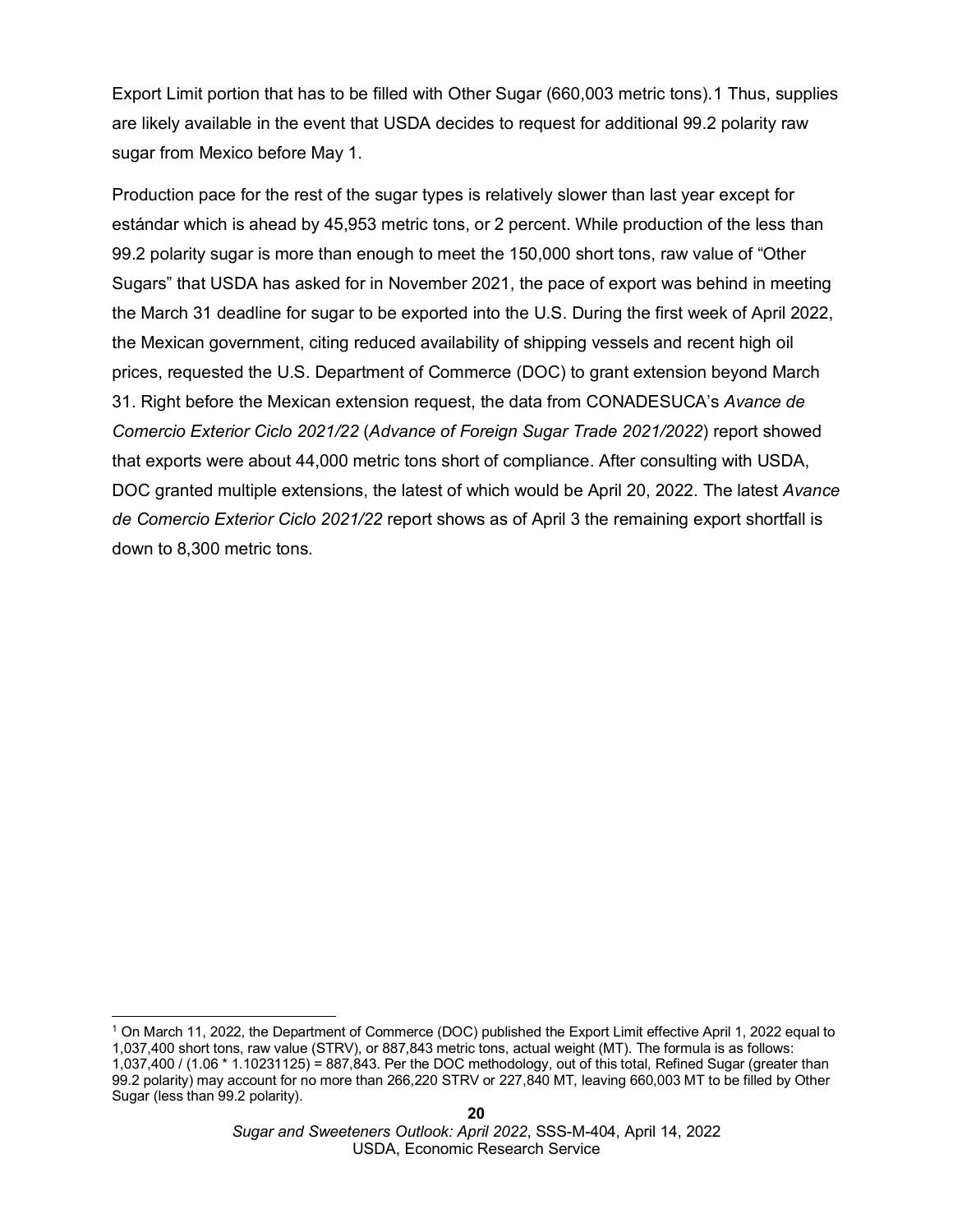Export Limit portion that has to be filled with Other Sugar (660,003 metric tons).[1](#page-19-0) Thus, supplies are likely available in the event that USDA decides to request for additional 99.2 polarity raw sugar from Mexico before May 1.

Production pace for the rest of the sugar types is relatively slower than last year except for estándar which is ahead by 45,953 metric tons, or 2 percent. While production of the less than 99.2 polarity sugar is more than enough to meet the 150,000 short tons, raw value of "Other Sugars" that USDA has asked for in November 2021, the pace of export was behind in meeting the March 31 deadline for sugar to be exported into the U.S. During the first week of April 2022, the Mexican government, citing reduced availability of shipping vessels and recent high oil prices, requested the U.S. Department of Commerce (DOC) to grant extension beyond March 31. Right before the Mexican extension request, the data from CONADESUCA's *Avance de Comercio Exterior Ciclo 2021/22* (*Advance of Foreign Sugar Trade 2021/2022*) report showed that exports were about 44,000 metric tons short of compliance. After consulting with USDA, DOC granted multiple extensions, the latest of which would be April 20, 2022. The latest *Avance de Comercio Exterior Ciclo 2021/22* report shows as of April 3 the remaining export shortfall is down to 8,300 metric tons.

<span id="page-19-0"></span><sup>1</sup> On March 11, 2022, the Department of Commerce (DOC) published the Export Limit effective April 1, 2022 equal to 1,037,400 short tons, raw value (STRV), or 887,843 metric tons, actual weight (MT). The formula is as follows: 1,037,400 / (1.06 \* 1.10231125) = 887,843. Per the DOC methodology, out of this total, Refined Sugar (greater than 99.2 polarity) may account for no more than 266,220 STRV or 227,840 MT, leaving 660,003 MT to be filled by Other Sugar (less than 99.2 polarity).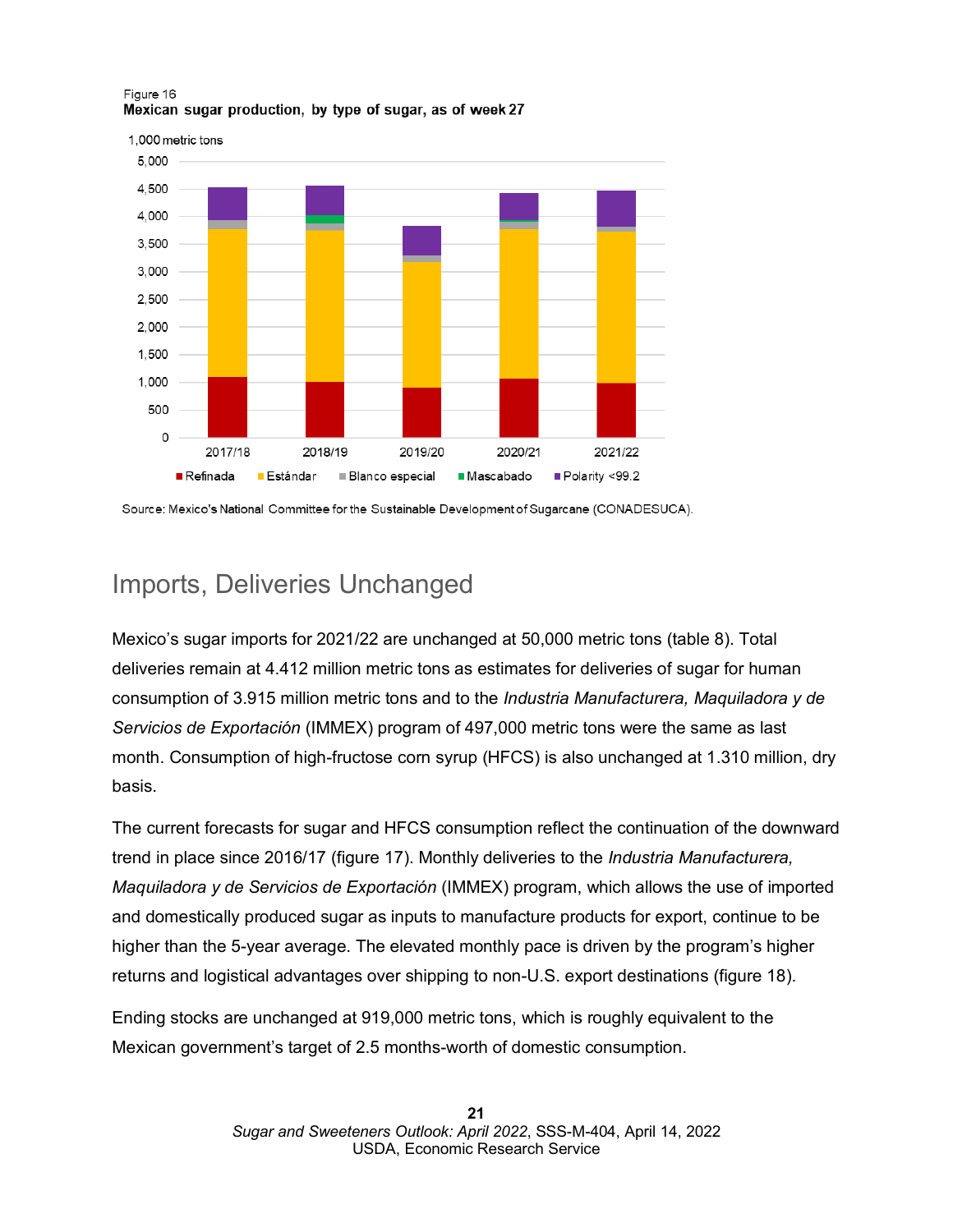

# Imports, Deliveries Unchanged

Mexico's sugar imports for 2021/22 are unchanged at 50,000 metric tons (table 8). Total deliveries remain at 4.412 million metric tons as estimates for deliveries of sugar for human consumption of 3.915 million metric tons and to the *Industria Manufacturera, Maquiladora y de Servicios de Exportación* (IMMEX) program of 497,000 metric tons were the same as last month. Consumption of high-fructose corn syrup (HFCS) is also unchanged at 1.310 million, dry basis.

The current forecasts for sugar and HFCS consumption reflect the continuation of the downward trend in place since 2016/17 (figure 17). Monthly deliveries to the *Industria Manufacturera, Maquiladora y de Servicios de Exportación* (IMMEX) program, which allows the use of imported and domestically produced sugar as inputs to manufacture products for export, continue to be higher than the 5-year average. The elevated monthly pace is driven by the program's higher returns and logistical advantages over shipping to non-U.S. export destinations (figure 18).

Ending stocks are unchanged at 919,000 metric tons, which is roughly equivalent to the Mexican government's target of 2.5 months-worth of domestic consumption.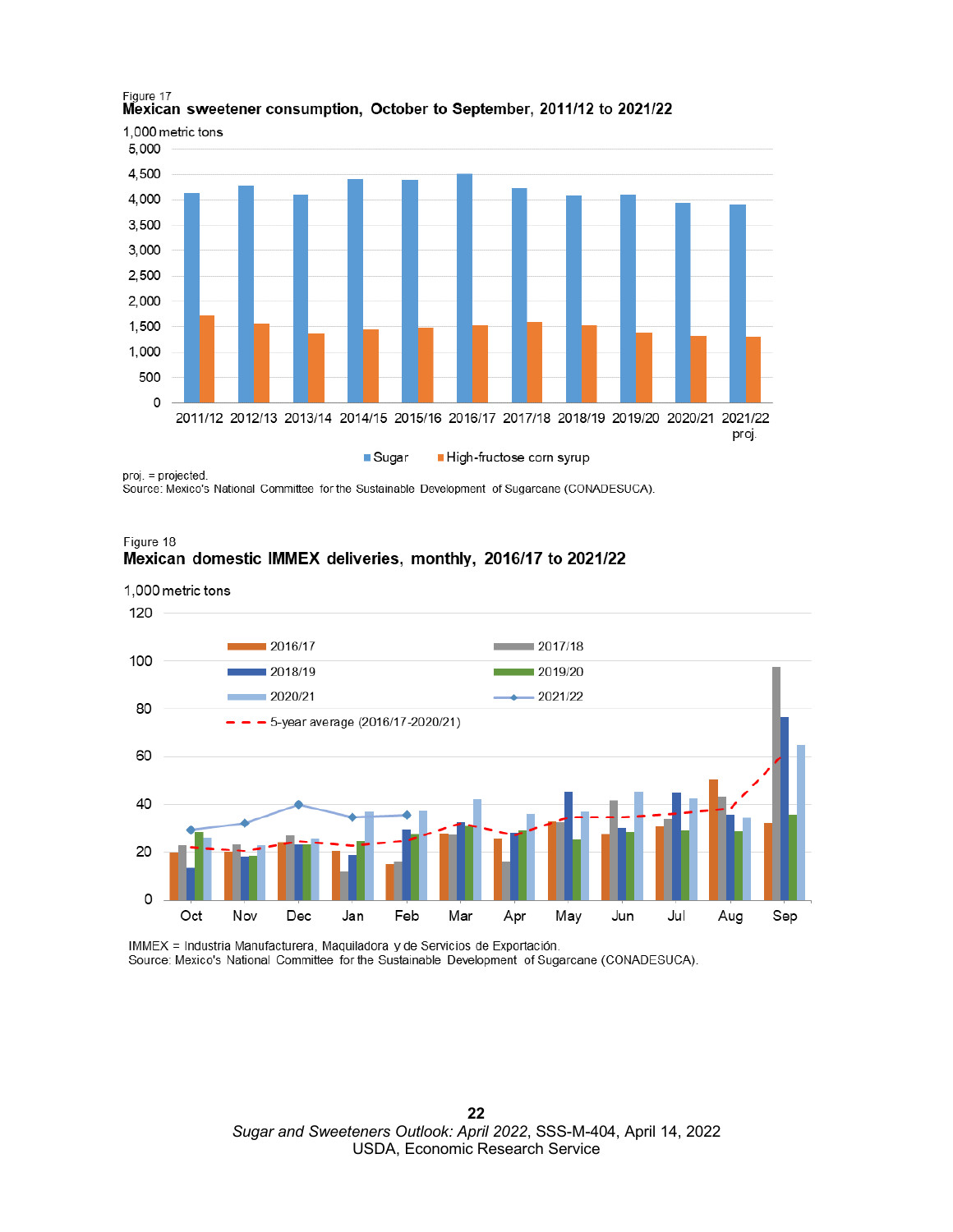

### Figure 17 Mexican sweetener consumption, October to September, 2011/12 to 2021/22

Source: Mexico's National Committee for the Sustainable Development of Sugarcane (CONADESUCA).



1,000 metric tons 120 2016/17  $= 2017/18$ 100 2018/19  $2019/20$ 2020/21  $-2021/22$ 80 5-year average (2016/17-2020/21) 60 40 20  $\circ$ Oct Nov Dec Jan Feb Mar Apr May Jun Jul Aug Sep

IMMEX = Industria Manufacturera, Maquiladora y de Servicios de Exportación. Source: Mexico's National Committee for the Sustainable Development of Sugarcane (CONADESUCA).